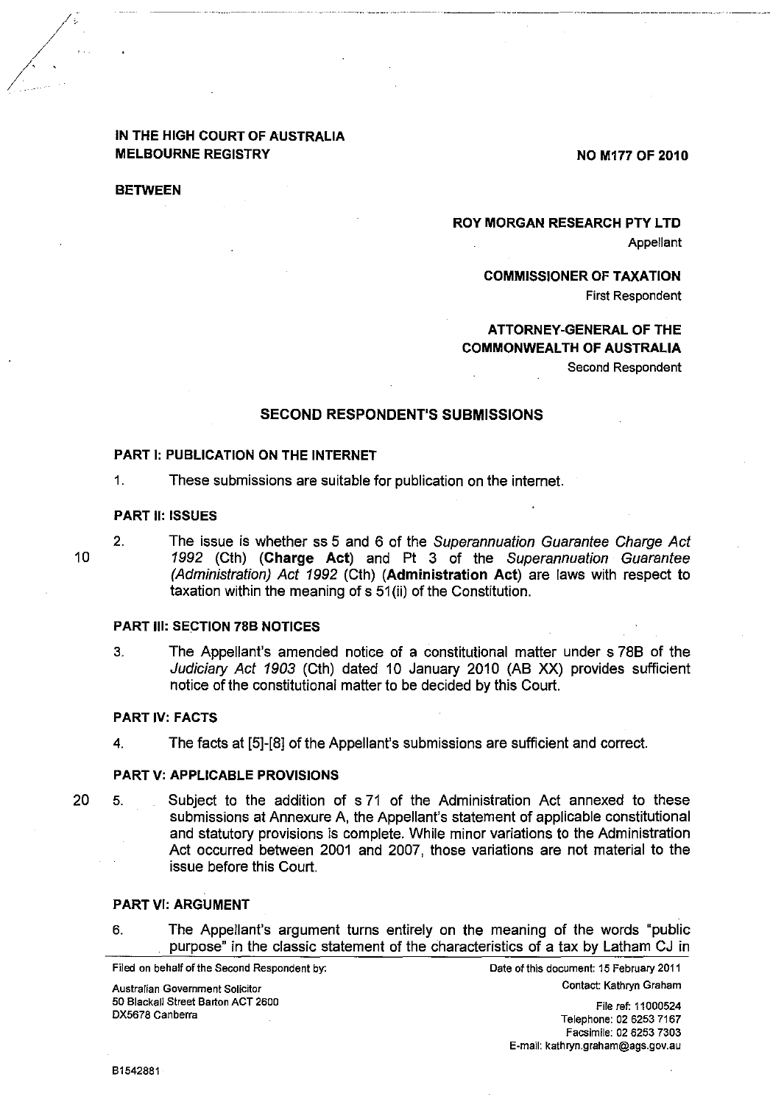# IN THE HIGH COURT OF AUSTRALIA MELBOURNE REGISTRY

NO M177 OF 2010

**BETWEEN** 

ROY MORGAN RESEARCH PTY LTD Appellant

COMMISSIONER OF TAXATION

First Respondent

### ATTORNEY-GENERAL OF THE COMMONWEALTH OF AUSTRALIA Second Respondent

### SECOND RESPONDENT'S SUBMISSIONS

### PART I: PUBLICATION ON THE INTERNET

1. These submissions are suitable for publication on the internet.

#### PART **II: ISSUES**

10

 $2.$ 

The issue is whether ss 5 and 6 of the Superannuation Guarantee Charge Act 1992 (Cth) (Charge Act) and Pt 3 of the Superannuation Guarantee (Administration) Act 1992 (Cth) (Administration Act) are laws with respect to taxation within the meaning of s 51 (ii) of the Constitution.

### PART Ill: SECTION 78B NOTICES

3. The Appellant's amended notice of a constitutional matter under s 78B of the Judiciary Act 1903 (Cth) dated 10 January 2010 (AB XX) provides sufficient notice of the constitutional matter to be decided by this Court.

#### PART IV: FACTS

4. The facts at [5]-[8] of the Appellant's submissions are sufficient and correct.

#### PART V: APPLICABLE PROVISIONS

20 Subject to the addition of s 71 of the Administration Act annexed to these 5. submissions at Annexure A, the Appellant's statement of applicable constitutional and statutory provisions is complete. While minor variations to the Administration Act occurred between 2001 and 2007, those variations are not material to the issue before this Court.

#### PART VI: ARGUMENT

6. The Appellant's argument turns entirely on the meaning of the words "public purpose" in the classic statement of the characteristics of a tax by Latham CJ in

Filed on behalf of the Second Respondent by:

Date of this document: 15 February 2011 Contact: Kathryn Graham

Australian Government Solicitor 50 Blackall Street Barton ACT 2600 DX5678 Canberra

File ref: 11000524 Telephone: 02 6253 7167 Facsimile: 02 6253 7303 E-mail: kathryn.graham@ags.gov.au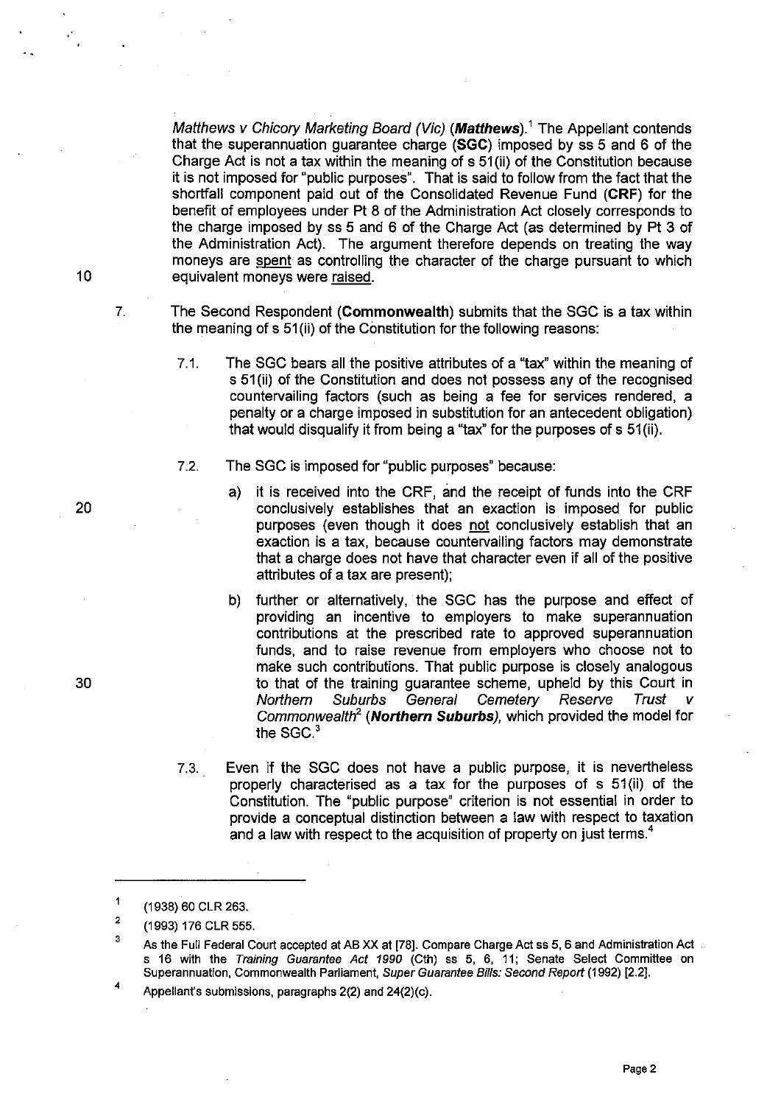Matthews v Chicory Marketing Board (Vic) (Matthews).<sup>1</sup> The Appellant contends that the superannuation guarantee charge (SGC) imposed by ss 5 and 6 of the Charge Act is not a tax within the meaning of s 51 (ii) of the Constitution because it is not imposed for "public purposes". That is said to follow from the fact that the shortfall component paid out of the Consolidated Revenue Fund (CRF) for the benefit of employees under Pt 8 of the Administration Act closely corresponds to the charge imposed by ss 5 and 6 of the Charge Act (as determined by Pt 3 of the Administration Act). The argument therefore depends on treating the way moneys are spent as controlling the character of the charge pursuant to which equivalent moneys were raised.

The Second Respondent (Commonwealth) submits that the SGC is a tax within the meaning of s 51 (ii) of the Constitution for the following reasons:

- 7.1. The SGC bears all the positive attributes of a "tax" within the meaning of s 51 (ii) of the Constitution and does not possess any of the recognised countervailing factors (such as being a fee for services rendered, a penalty or a charge imposed in substitution for an antecedent obligation) that would disqualify it from being a "tax" for the purposes of s 51 (ii).
- 7:2. The SGC is imposed for "public purposes" because:
	- a) it is received into the CRF, and the receipt of funds into the CRF conclusively establishes that an exaction is imposed for public purposes (even though it does not conclusively establish that an exaction is a tax, because countervailing factors may demonstrate that a charge does not have that character even if all of the positive attributes of a tax are present);
	- b) further or alternatively, the SGC has the purpose and effect of providing an incentive to employers to make superannuation contributions at the prescribed rate to approved superannuation funds, and to raise revenue from employers who choose not to make such contributions. That public purpose is closely analogous to that of the training guarantee scheme, upheld by this Court in Northern Suburbs General Cemetery Reserve Trust Commonwealth<sup>2</sup> (Northern Suburbs), which provided the model for the SGC.<sup>3</sup>
- 7.3. Even if the SGC does not have a public purpose, it is nevertheless properly characterised as a tax for the purposes of s 51 (ii) of the Constitution. The "public purpose" criterion is not essential in order to provide a conceptual distinction between a law with respect to taxation and a law with respect to the acquisition of property on just terms.<sup>4</sup>

, Appellant's submissions, paragraphs 2(2) and 24(2)(c).

20

10

7.

30

 $\mathbf{1}$ (1938) 60 CLR 263.

<sup>2</sup>  (1993) 176 CLR 555.

<sup>3</sup>  As the Full Federal Court accepted at AB XX at [78]. Compare Charge Act ss 5, 6 and Administration Act . s 16 with the Training Guarantee Act 1990 (Cth) ss 5, 6, 11; Senate Select Committee on Superannuation, Commonwealth Parliament, Super Guarantee Bills: Second Report (1992) [2.2].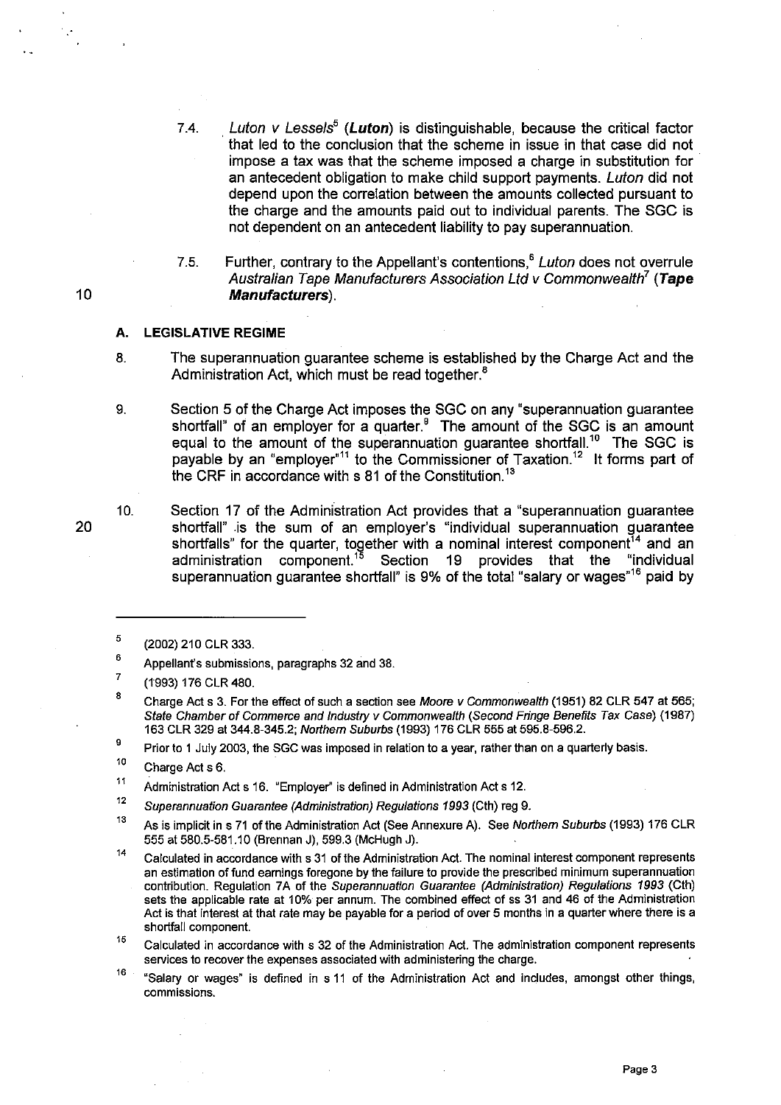- 7.4. Luton *V* Lessels*5* (Luton) is distinguishable, because the critical factor . that led to the conclusion that the scheme in issue in that case did not impose a tax was that the scheme imposed a charge in substitution for' an antecedent obligation to make child support payments. Luton did not depend upon the correlation between the amounts collected pursuant to the charge and the amounts paid out to individual parents. The SGC is not dependent on an antecedent liability to pay superannuation.
- 7.5. Further, contrary to the Appellant's contentions, $<sup>6</sup> Lution does not override$ </sup> Australian Tape Manufacturers Association Ltd v Commonwealth<sup>7</sup> (Tape Manufacturers).

#### A. **LEGISLATIVE REGIME**

- 8. The superannuation guarantee scheme is established by the Charge Act and the Administration Act, which must be read together.<sup>8</sup>
- 9. Section 5 of the Charge Act imposes the SGC on any "superannuation guarantee shortfall" of an employer for a quarter. $9$  The amount of the SGC is an amount equal to the amount of the superannuation guarantee shortfall.'° The SGC is payable by an "employer"<sup>11</sup> to the Commissioner of Taxation.<sup>12</sup> It forms part of the CRF in accordance with s 81 of the Constitution.<sup>13</sup>
- 10. Section 17 of the Administration Act provides that a "superannuation guarantee shortfall" is the sum of an employer's "individual superannuation guarantee shortfalls" for the quarter, together with a nominal interest component<sup>14</sup> and an administration component.<sup>15</sup> Section 19 provides that the "individual superannuation guarantee shortfall" is 9% of the total "salary or wages"<sup>16</sup> paid by

9 Prior to 1 July 2003, the SGC was imposed in relation to a year, rather than on a quarterly basis.

10 Charge Act s 6.

11 Administration Act s 16. "Employer" is defined in Administration Act s 12.

- 12 Superannuation Guarantee (Administration) Regulations 1993 (Cth) reg 9.
- 13 As is implicit in s 71 of the Administration Act (See Annexure A). See Northem Suburbs (1993) 176 CLR 555 at 580.5-581.10 (Brennan J), 599.3 (McHugh J).
- 14 Calculated in accordance with s 31 of the Administration Act. The nominal interest component represents an estimation of fund earnings foregone by the failure to provide the prescribed minimum superannuation contribution. Regulation 7A of the Superannuation Guarantee (Administration) Regulations 1993 (Cth) sets the applicable rate at 10% per annum. The combined effect of ss 31 and 46 of the Administration Act is that interest at that rate may be payable for a period of over 5 months in a quarter where there is a shortfall component.
- 15 Calculated in accordance with s 32 of the Administration Act. The administration component represents services to recover the expenses associated with administering the charge.
- 16 "Salary or wages" is defined in s 11 of the Administration Act and includes, amongst other things, **commissions.**

10

<sup>5</sup>  (2002) 210 CLR 333.

<sup>8</sup>  Appellant's submissions, paragraphs 32 and 38.

<sup>?</sup>  (1993) 176 CLR 480.

<sup>8</sup>  Charge Act s 3. For the effect of such a section see Moore v Commonwealth (1951) 82 CLR 547 at 565; State Chamber of Commerce and Industry v Commonwealth (Second Fringe Benefits Tax Case) (1987) 163 CLR 329 at 344.8-345.2; Northem Suburbs (1993) 176 CLR 555 at 595.8-596.2.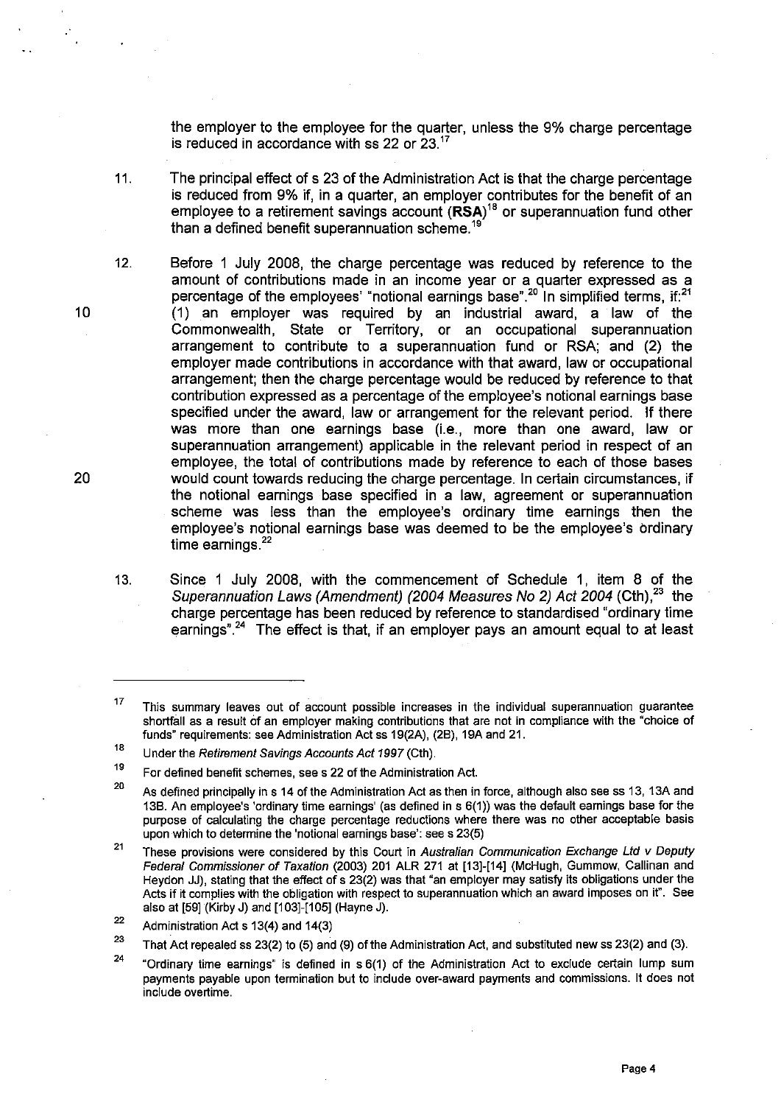the employer to the employee for the quarter, unless the 9% charge percentage is reduced in accordance with ss 22 or 23.<sup>17</sup>

- 11. The principal effect of s 23 of the Administration Act is that the charge percentage is reduced from 9% if, in a quarter, an employer contributes for the benefit of an employee to a retirement savings account  $(RSA)^{18}$  or superannuation fund other than a defined benefit superannuation scheme.<sup>191</sup>
- 12. Before 1 July 2008, the charge percentage was reduced by reference to the amount of contributions made in an income year or a quarter expressed as a percentage of the employees' "notional earnings base".<sup>20</sup> In simplified terms, if:<sup>21</sup> (1) an employer was required by an industrial award, a law of the Commonwealth, State or Territory, or an occupational superannuation arrangement to contribute to a superannuation fund or RSA; and (2) the employer made contributions in accordance with that award, law or occupational arrangement; then the charge percentage would be reduced by reference to that contribution expressed as a percentage of the employee's notional earnings base specified under the award, law or arrangement for the relevant period. If there was more than one earnings base (i.e., more than one award, law or superannuation arrangement) applicable in the relevant period in respect of an employee, the total of contributions made by reference to each of those bases would count towards reducing the charge percentage. In certain circumstances, if the notional earnings base specified in a law, agreement or superannuation scheme was less than the employee's ordinary time earnings then the employee's notional earnings base was deemed to be the employee's ordinary time earnings. $22$
- 13. Since 1 July 2008, with the commencement of Schedule 1, item 8 of the Superannuation Laws (Amendment) (2004 Measures No 2) Act 2004 (Cth),<sup>23</sup> the charge percentage has been reduced by reference to standardised "ordinary time earnings"<sup>24</sup> The effect is that, if an employer pays an amount equal to at least

10

<sup>17</sup>  This summary leaves out of account possible increases in the individual superannuation guarantee shortfall as a result of an employer making contributions that are not in compliance with the "choice of funds" requirements: see Administration Act ss 19(2A), (28), 19A and 21.

<sup>18</sup>  Under the Retirement Savings Accounts Act 1997 (Cth).

<sup>19</sup>  For defined benefit schemes, see s 22 of the Administration Act.

<sup>20</sup>  As defined principally in s 14 of the Administration Act as then in force, although also see ss 13, 13A and 138. An employee's 'ordinary time earnings' (as defined in s 6(1)) was the default earnings base for the purpose of calculating the charge percentage reductions where there was no other acceptable basis upon which to determine the 'notional earnings base': see s 23(5)

<sup>21</sup>  These provisions were considered by this Court in Australian Communication Exchange Ltd v Deputy Federal Commissioner of Taxation (2003) 201 ALR 271 at [13]-[14] (McHugh, Gummow, Callinan and Heydon JJ), stating that the effect of s 23(2) was that "an employer may satisfy its obligations under the Acts if it complies with the obligation with respect to superannuation which an award imposes on it". See also at [59] (Kirby J) and [103]-[105] (Hayne J).

<sup>22</sup>  Administration Act s 13(4) and 14(3)

<sup>23</sup>  That Act repealed ss 23(2) to (5) and (9) of the Administration Act, and substituted new ss 23(2) and (3).

<sup>24</sup> "Ordinary time earnings" is defined in s 6(1) of the Administration Act to exclude certain lump sum payments payable upon termination but to include over-award payments and commissions. It does not include overtime.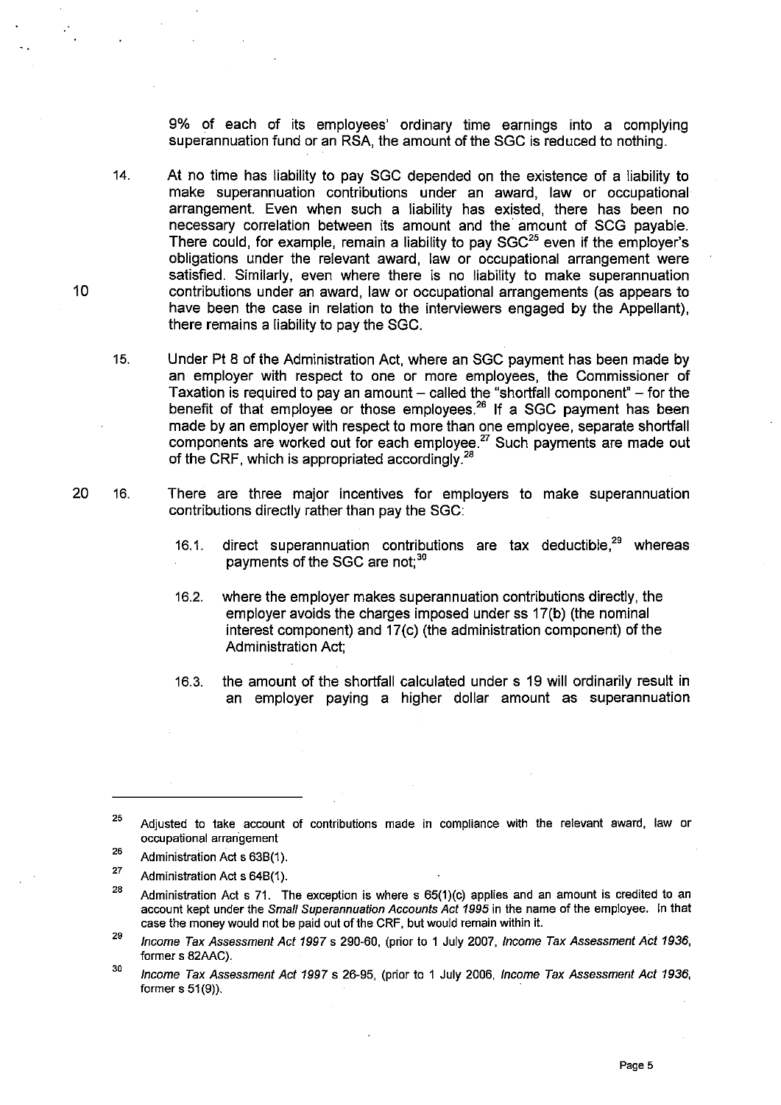9% of each of its employees' ordinary time earnings into a complying superannuation fund or an RSA, the amount of the SGC is reduced to nothing.

- 14. At no time has liability to pay SGC depended on the existence of a liability to make superannuation contributions under an award, law or occupational arrangement. Even when such a liability has existed, there has been no necessary correlation between its amount and the' amount of SCG payable. There could, for example, remain a liability to pay  $SGC^{25}$  even if the employer's obligations under the relevant award, law or occupational arrangement were satisfied. Similarly, even where there is no liability to make superannuation contributions under an award, law or occupational arrangements (as appears to have been the case in relation to the interviewers engaged by the Appellant), there remains a liability to pay the SGC.
- 15. Under Pt 8 of the Administration Act, where an SGC payment has been made by an employer with respect to one or more employees, the Commissioner of Taxation is required to pay an amount  $-$  called the "shortfall component"  $-$  for the benefit of that employee or those employees.<sup>26</sup> If a SGC payment has been made by an employer with respect to more than one employee, separate shortfall components are worked out for each employee.<sup>27</sup> Such payments are made out of the CRF, which is appropriated accordingly. $^{28}$
- 20 16. There are three major incentives for employers to make superannuation contributions directly rather than pay the SGC:
	- 16.1. direct superannuation contributions are tax deductible.<sup>29</sup> whereas payments of the SGC are not:<sup>30</sup>
	- 16.2. where the employer makes superannuation contributions directly, the employer avoids the charges imposed under ss 17(b) (the nominal interest component) and 17(c) (the administration component) of the Administration Act;
	- 16.3. the amount of the shortfall calculated under s 19 will ordinarily result in an employer paying a higher dollar amount as superannuation

- 28 Administration Act s 71. The exception is where s 65(1)(c) applies and an amount is credited to an account kept under the Small Superannuation Accounts Act 1995 in the name of the employee. In that case the money would not be paid out of the CRF, but would remain within it.
- 29 Income Tax Assessment Act 1997 s 290-60, (prior to 1 July 2007, Income Tax Assessment Act 1936, former s 82AAC).
- 30 Income Tax Assessment Act 1997 s 26-95, (prior to 1 July 2006, Income Tax Assessment Act 1936, former s 51 (9)).

<sup>25</sup>  Adjusted to take account of contributions made in compliance with the relevant award, law or **occupational arran"gement** 

<sup>26</sup>  Administration Act s 638(1).

<sup>27</sup>  Administration Act s 648(1).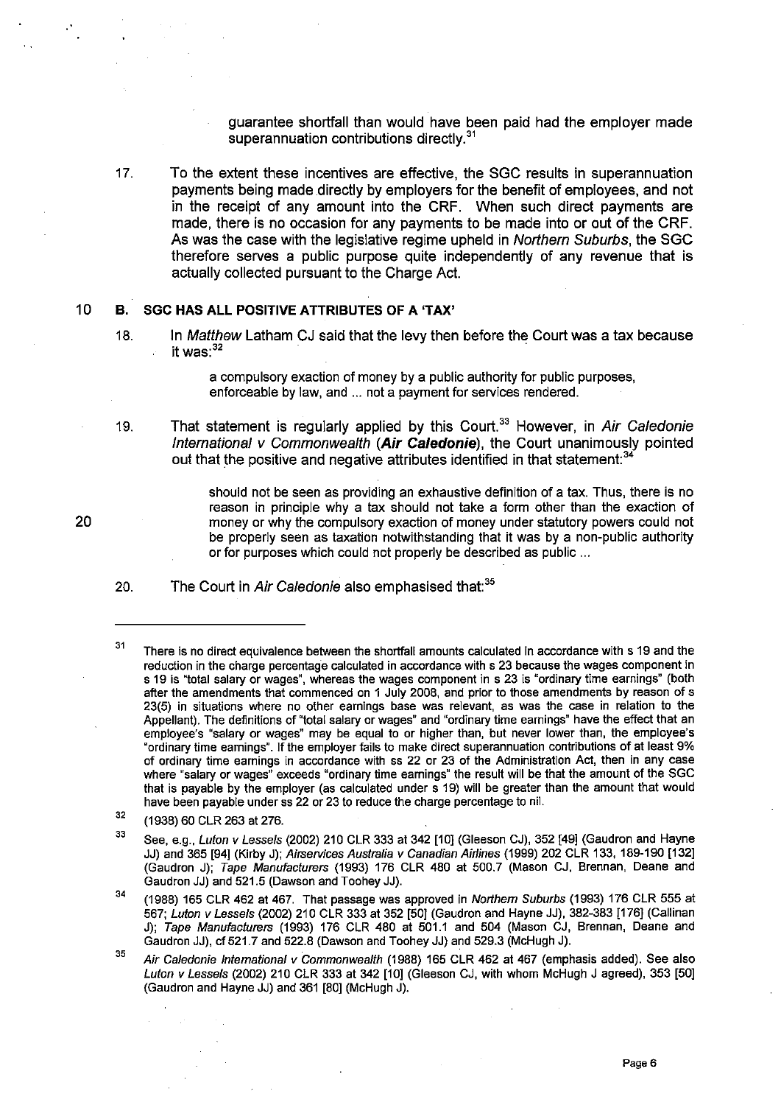guarantee shortfall than would have been paid had the employer made superannuation contributions directly.<sup>31</sup>

17. To the extent these incentives are effective, the SGC results in superannuation payments being made directly by employers for the benefit of employees, and not in the receipt of any amount into the CRF. When such direct payments are made, there is no occasion for any payments to be made into or out of the CRF. As was the case with the legislative regime upheld in Northern Suburbs, the SGC therefore serves a public purpose quite independently of any revenue that is actually collected pursuant to the Charge Act.

#### 10 B. SGC HAS ALL POSITIVE ATTRIBUTES OF A 'TAX'

18. In Matthew Latham CJ said that the levy then before the Court was a tax because it was: $32$ 

> a compulsory exaction of money by a public authority for public purposes, enforceable by law, and ... not a payment for services rendered.

19. That statement is regularly applied by this Court.<sup>33</sup> However, in Air Caledonie International v Commonwealth (Air Caledonie), the Court unanimously pointed out that the positive and negative attributes identified in that statement:<sup>34</sup>

> should not be seen as providing an exhaustive definition of a tax. Thus, there is no reason in principle why a tax should not take a form other than the exaction of money or why the compulsory exaction of money under statutory powers could not be properly seen as taxation notwithstanding that it was by a non-public authority or for purposes which could not properly be described as public ...

20. The Court in Air Caledonie also emphasised that:<sup>35</sup>

34 (1988) 165 CLR 462 at 467. That passage was approved in Northern Suburbs (1993) 176 CLR 555 at 567; Luton v Lessels (2002) 210 CLR 333 at 352 [50] (Gaudron and Hayne JJ), 382-383 [176] (Callinan J); Tape Manufaclurers (1993) 176 CLR 480 at 501.1 and 504 (Mason CJ, Brennan, Deane and Gaudron JJ), cf 521.7 and 522.8 (Dawson and Toohey JJ) and 529.3 (McHugh J).

35 Air Caledonie International v Commonwealth (1988) 165 CLR 462 at 467 (emphasis added). See also Lulon v Lessels (2002) 210 CLR 333 at 342 [10] (Gleeson CJ, with whom McHugh J agreed), 353 [50] (Gaudron and Hayne JJ) and 361 [80] (McHugh J).

<sup>31</sup>  There is no direct equivalence between the shortfall amounts calculated in accordance with s 19 and the reduction in the charge percentage calculated in accordance with s 23 because the wages component in s 19 is "total salary or wages", whereas the wages component in s 23 is "ordinary time earnings" (both after the amendments that commenced on 1 July 2008, and prior to those amendments by reason of s 23(5) in situations where no other earnings base was relevant, as was the case in relation to the Appellant). The definitions of "total salary or wages" and "ordinary time earnings" have the effect that an employee's "salary or wages" may be equal to or higher than, but never lower than, the employee's "ordinary time earnings". If the employer fails to make direct superannuation contributions of at least 9% of ordinary time earnings in accordance with ss 22 or 23 of the Administration Act, then in any case where "salary or wages" exceeds "ordinary time earnings" the result will be that the amount of the SGC that is payable by the employer (as calculated under s 19) will be greater than the amount that would have been payable under ss 22 or 23 to reduce the charge percentage to nil.

<sup>32</sup>  (1938) 60 CLR 263 at 276.

<sup>33</sup>  See, e.g., Luton v Lessels (2002) 210 CLR 333 at 342 [10] (Gleeson CJ), 352 [49] (Gaudron and Hayne JJ) and 365 [94] (Kirby J); Airservices Auslralia v Canadian Airlines (1999) 202 CLR 133, 189-190 [132] (Gaudron J); Tape Manufaclurers (1993) 176 CLR 480 at 500.7 (Mason CJ, Brennan, Deane and Gaudron JJ) and 521.5 (Dawson and Toohey JJ).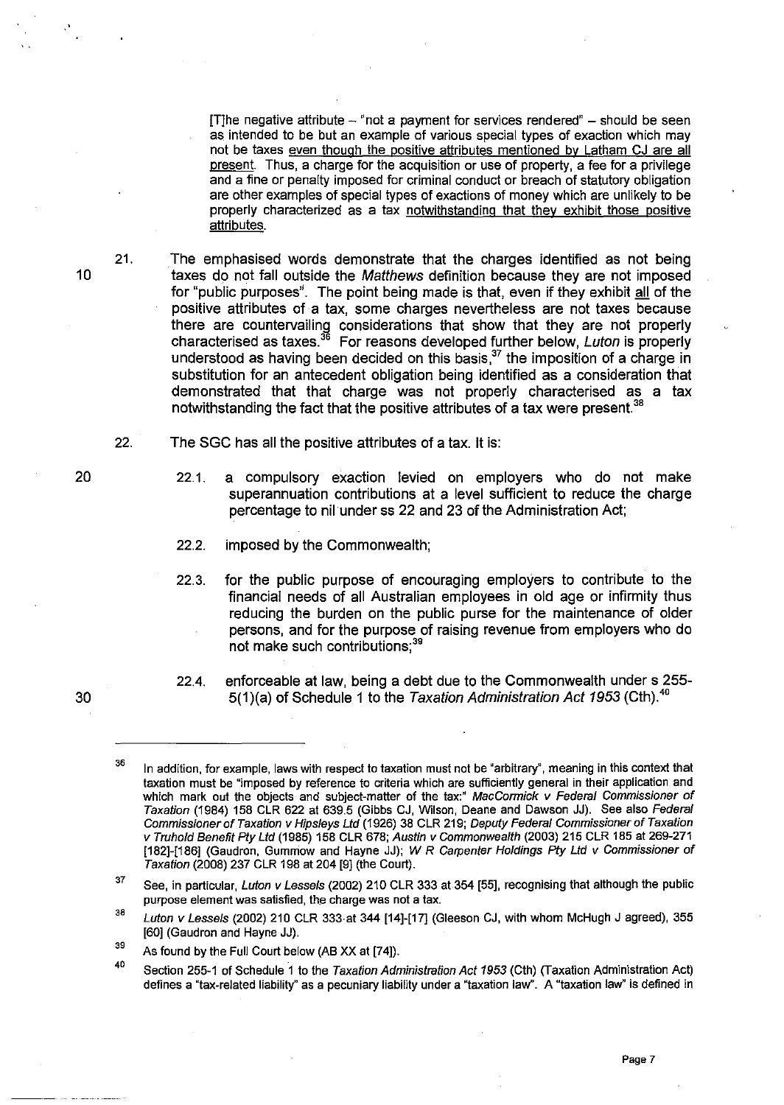$[T]$ he negative attribute  $-$  "not a payment for services rendered"  $-$  should be seen as. intended to be but an example of various special types of exaction which may not be taxes even though the positive attributes mentioned by Latham CJ are all present. Thus, a charge for the acquisition or use of property, a fee for a privilege and a fine or penalty imposed for criminal conduct or breach of statutory obligation are other examples of special types of exactions of money which are unlikely to be properly characterized as a tax notwithstanding that they exhibit those positive attributes.

The emphasised words demonstrate that the charges identified as not being taxes do not fall outside the Matthews definition because they are not imposed for "public purposes". The point being made is that, even if they exhibit all of the positive attributes of a tax, some charges nevertheless are not taxes because there are countervailing considerations that show that they are not properly characterised as taxes.<sup>36</sup> For reasons developed further below, *Luton* is properly understood as having been decided on this basis.<sup>37</sup> the imposition of a charge in substitution for an antecedent obligation being identified as a consideration that demonstrated that that charge was not properly characterised as a tax notwithstanding the fact that the positive attributes of a tax were present.<sup>38</sup>

22. The SGC has all the positive attributes of a tax. It is:

22.1. a compulsory exaction levied on employers who do not make superannuation contributions at a level sufficient to reduce the charge percentage to nil under ss 22 and 23 of the Administration Act;

- 22.2. imposed by the Commonwealth;
- 22.3. for the public purpose of encouraging employers to contribute to the financial needs of all Australian employees in old age or infirmity thus reducing the burden on the public purse for the maintenance of older persons, and for the purpose of raising revenue from employers who do not make such contributions;<sup>39</sup>
- 22.4. enforceable at law, being a debt due to the Commonwealth under s 255- 5(1)(a) of Schedule 1 to the Taxation Administration Act 1953 (Cth). $40$

20

30

10

21.

<sup>3</sup>B In addition, for example, laws with respect to taxation must not be "arbitrary", meaning in this context that taxation must be "imposed by reference to criteria which are sufficiently general in their application and which mark out the objects and subject-matter of the tax:" MacCormick v Federal Commissioner of Taxation (1984) 158 CLR 622 at 639.5 (Gibbs CJ, Wilson, Deane and Dawson JJ). See also Federal Commissioner of Taxation v Hipsleys Ltd (1926) 38 CLR 219; Deputy Federal Commissioner of Taxation v Truhold Benefit Ply Lld (1985) 158 CLR 678; Austin v Commonwealth (2003) 215 CLR 185 at 269-271 [182]-[186] (Gaudron, Gummow and Hayne JJ); W R Carpenter Holdings Pty Ltd v Commissioner of Taxation (2008) 237 CLR 198 at 204 [9] (the Court).

<sup>37</sup>  See, in particular, Luton v Lessels (2002) 210 CLR 333 at 354 [55], recognising that although the public purpose element was satisfied, the charge was not a tax.

<sup>38</sup>  Luton v Lessels (2002) 210 CLR 333 at 344 [14]-[17] (Gleeson CJ, with whom McHugh J agreed), 355 [60] (Gaudron and Hayne JJ).

<sup>39</sup>  As found by the Full Court below (AB xx at [74]).

<sup>40</sup>  Section 255-1 of Schedule 1 to the Taxation Administration Act 1953 (Cth) (Taxation Administration Act) defines a "tax-related liability" as a pecuniary liability under a "taxation law". A "taxation law" is defined in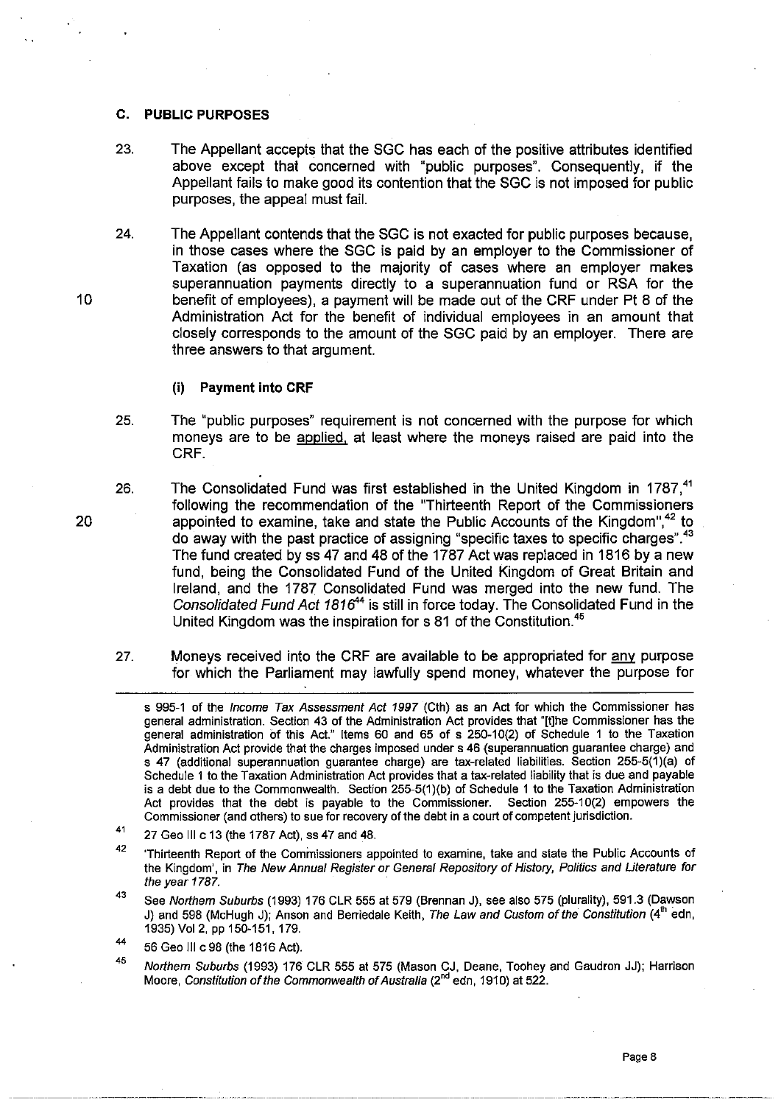#### C. PUBLIC PURPOSES

- 23. The Appellant accepts that the SGC has each of the positive attributes identified above except that concerned with "public purposes". Consequently, if the Appellant fails to make good its contention that the SGC is not imposed for public purposes, the appeal must fail.
- 24. The Appellant contends that the SGC is not exacted for public purposes because, in those cases where the SGC is paid by an employer to the Commissioner of Taxation (as opposed to the majority of cases where an employer makes superannuation payments directly to a superannuation fund or RSA for the benefit of employees), a payment will be made out of the CRF under Pt 8 of the Administration Act for the benefit of individual employees in an amount that closely corresponds to the amount of the SGC paid by an employer. There are three answers to that argument.

#### (i) Payment into CRF

- 25. The "public purposes" requirement is not concerned with the purpose for which moneys are to be applied, at least where the moneys raised are paid into the CRF.
- 26. The Consolidated Fund was first established in the United Kingdom in 1787.<sup>41</sup> following the recommendation of the "Thirteenth Report of the Commissioners appointed to examine, take and state the Public Accounts of the Kingdom",<sup>42</sup> to do away with the past practice of assigning "specific taxes to specific charges".<sup>43</sup> The fund created by ss 47 and 48 of the 1787 Act was replaced in 1816 by a new fund, being the Consolidated Fund of the United Kingdom of Great Britain and Ireland, and the 1787 Consolidated Fund was merged into the new fund. The Consolidated Fund Act 1816<sup>44</sup> is still in force today. The Consolidated Fund in the United Kingdom was the inspiration for s 81 of the Constitution. $45$
- 27. Moneys received into the CRF are available to be appropriated for any purpose for which the Parliament may lawfully spend money, whatever the purpose for

10

s 995-1 of the Income Tax Assessment Act 1997 (Cth) as an Act for which the Commissioner has general administration. Section 43 of the Administration Act provides that '"[t]he Commissioner has the general administration of this Act." Items 60 and 65 of s 250-10(2) of Schedule 1 to the Taxation Administration Act provide that the charges imposed under s 46 (superannuation guarantee charge) and s 47 (additional superannuation guarantee charge) are tax-related liabilities. Section 255-5(1)(a) of Schedule 1 to the Taxation Administration Act provides that a tax-related liability that is due and payable is a debt due to the Commonwealth. Section 255-5(1)(b) of Schedule 1 to the Taxation Administration Act provides that the debt is payable to the Commissioner. Section 255-10(2) empowers the Commissioner (and others) to sue for recovery of the debt in a court of competent jurisdiction.

<sup>41</sup>  27 Geo III c 13 (the 1787 Act). ss 47 and 48.

<sup>42</sup>  'Thirteenth Report of the Commissioners appointed to examine, take and state the Public Accounts of the Kingdom', in The New Annual Register or General Repository of History, Politics and Literature for the year 1787.

<sup>43</sup>  See Northern Suburbs (1993) 176 CLR 555 at 579 (Brennan J), see also 575 (plurality), 591.3 (Dawson J) and 598 (McHugh J); Anson and Berriedale Keith, The Law and Custom of the Constitution  $(4^{in}$  edn, 1935) Vo12, pp 150-151, 179.

<sup>44</sup>  56 Geo III c 98 (the 1816 Act).

<sup>45</sup>  Northern Suburbs (1993) 176 CLR 555 at 575 (Mason CJ, Deane, Toohey and Gaudron JJ); Harrison Moore, *Constitution of the Commonwealth of Australia* (2<sup>nd</sup> edn, 1910) at 522.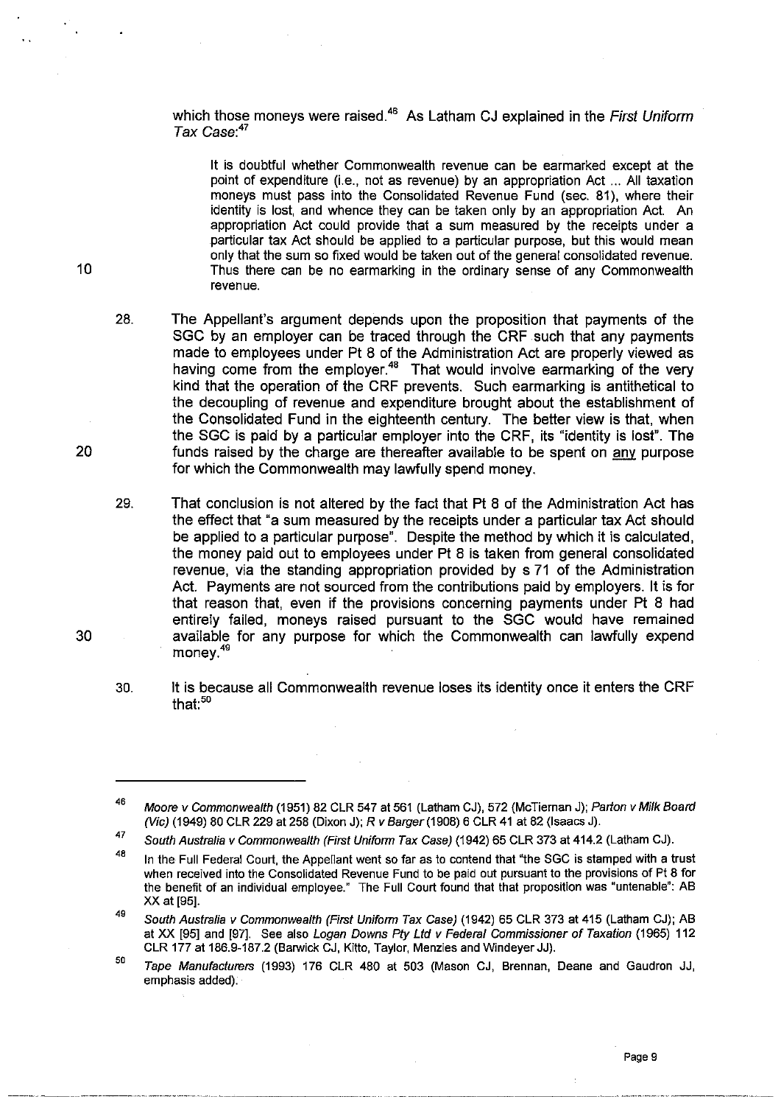which those moneys were raised.<sup>46</sup> As Latham CJ explained in the First Uniform Tax Case: *<sup>47</sup>*

It is doubtful whether Commonwealth revenue can be earmarked except at the point of expenditure (Le., not as revenue) by an appropriation Act ... All taxation moneys must pass into the Consolidated Revenue Fund (sec. 81), where their identity is lost, and whence they can be taken only by an appropriation Act. An appropriation Act could provide that a sum measured by the receipts under a particular tax Act should be applied to a particular purpose, but this would mean only that the sum so fixed would be taken out of the general consolidated revenue. Thus there can be no earmarking in the ordinary sense of any Commonwealth revenue.

28. The Appellant's argument depends upon the proposition that payments of the SGC by an employer can be traced through the CRF such that any payments made to employees under Pt 8 of the Administration Act are properly viewed as having come from the employer.<sup>48</sup> That would involve earmarking of the very kind that the operation of the CRF prevents. Such earmarking is antithetical to the decoupling of revenue and expenditure brought about the establishment of the Consolidated Fund in the eighteenth century. The better view is that, when the SGC is paid by a particular employer into the CRF, its "identity is lost". The funds raised by the charge are thereafter available to be spent on any purpose for which the Commonwealth may lawfully spend money.

29. That conclusion is not altered by the fact that Pt 8 of the Administration Act has the effect that "a sum measured by the receipts under a particular tax Act should be applied to a particular purpose". Despite the method by which it is calculated, the money paid out to employees under Pt 8 is taken from general consolidated revenue, via the standing appropriation provided by s 71 of the Administration Act. Payments are not sourced from the contributions paid by employers. It is for that reason that, even if the provisions concerning payments under Pt 8 had entirely failed, moneys raised pursuant to the SGC would have remained available for any purpose for which the Commonwealth can lawfully expend money.<sup>49</sup>

30. It is because all Commonwealth revenue loses its identity once it enters the CRF that: $50$ 

20

10

<sup>46</sup>  Moore v Commonwealth (1951) 82 CLR 547 at 561 (Latham CJ), 572 (McTiernan J); Parton v Milk Board (Vie) (1949) 80 CLR 229 at 258 (Dixon J); R v Barger (1908) 6 CLR 41 at 82 (Isaacs J).

<sup>47</sup>  South Australia v Commonwealth (First Uniform Tax Case) (1942) 65 CLR 373 at 414.2 (Latham CJ).

<sup>48</sup>  In the Full Federal Court, the Appellant went so far as to contend that "the SGC is stamped with a trust when received into the Consolidated Revenue Fund to be paid out pursuant to the provisions of Pt 8 for the benefit of an individual employee." The Full Court found that that proposition was "untenable": AB XX at [95].

<sup>49</sup>  South Australia v Commonwealth (First Uniform Tax Case) (1942) 65 CLR 373 at 415 (Latham CJ); AB at XX [95] and [97]. See also Logan Downs Pty Ltd v Federal Commissioner of Taxation (1965) 112 CLR 177 at 186.9-187.2 (Barwick CJ, Kitto, Taylor, Menzies and WindeyerJJ).

<sup>50</sup>  Tape Manufacturers (1993) 176 CLR 480 at 503 (Mason CJ, Brennan, Deane and Gaudron JJ, emphasis added).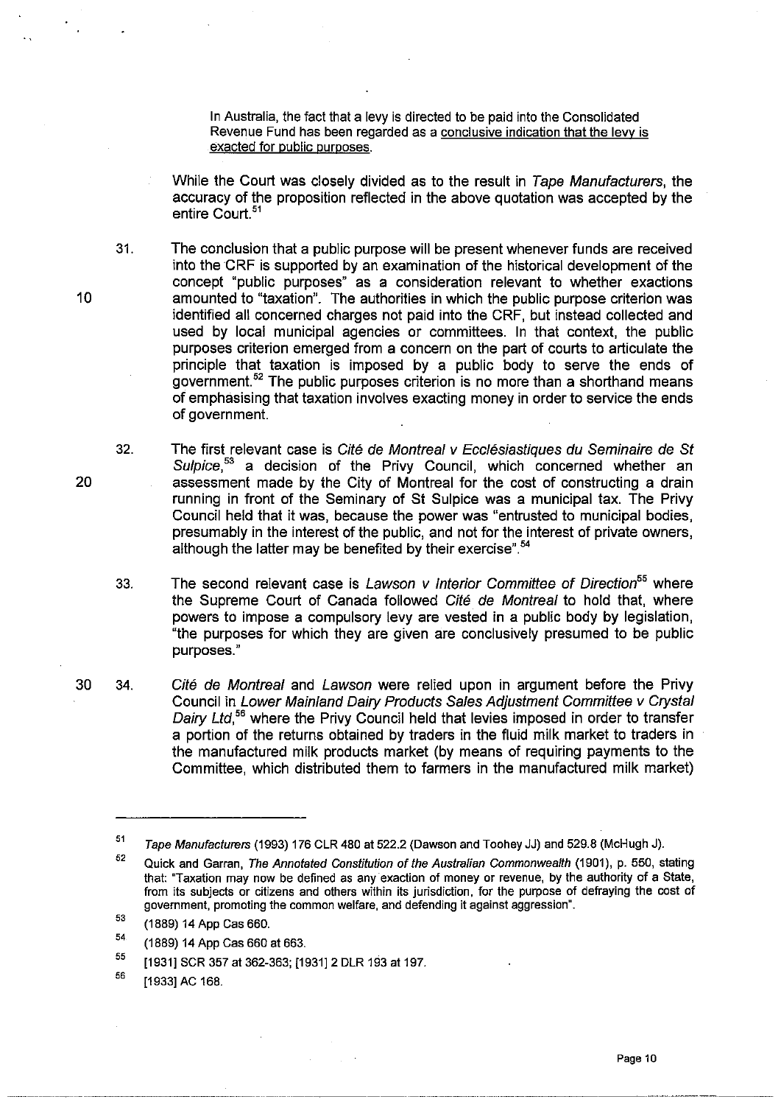In Australia, the fact that a levy is directed to be paid into the Consolidated Revenue Fund has been regarded as a conclusive indication that the levy is exacted for public purposes.

While the Court was closely divided as to the result in Tape Manufacturers, the accuracy of the proposition reflected in the above quotation was accepted by the entire Court.<sup>51</sup>

31. The conclusion that a public purpose will be present whenever funds are received into theCRF is supported by an examination of the historical development of the concept "public purposes" as a consideration relevant to whether exactions amounted to "taxation". The authorities in which the public purpose criterion was identified all concemed charges not paid into the CRF, but instead collected and used by local municipal agencies or committees. In that context, the public purposes criterion emerged from a concern on the part of courts to articulate the principle that taxation is imposed by a public body to serve the ends of government.52 The public purposes criterion is no more than a shorthand means of emphasising that taxation involves exacting money in order to service the ends of government.

- 32. The first relevant case is Cité de Montreal y Ecclésiastiques du Seminaire de St Sulpice,<sup>53</sup> a decision of the Privy Council, which concerned whether an assessment made by the City of Montreal for the cost of constructing a drain running in front of the Seminary of St Sulpice was a municipal tax. The Privy Council held that it was, because the power was "entrusted to municipal bodies, presumably in the interest of the public, and not for the interest of private owners, although the latter may be benefited by their exercise".<sup>54</sup>
- 33. The second relevant case is Lawson v Interior Committee of Direction<sup>55</sup> where the Supreme Court of Canada followed Cité de Montreal to hold that, where powers to impose a compulsory levy are vested in a public body by legislation, "the purposes for which they are given are conclusively presumed to be public purposes."
- 30 34. Cité de Montreal and Lawson were relied upon in argument before the Privy Council in Lower Mainland Dairy Products Sales Adjustment Committee v Crystal Dairy Ltd,<sup>56</sup> where the Privy Council held that levies imposed in order to transfer a portion of the returns obtained by traders in the fluid milk market to traders in the manufactured milk products market (by means of requiring payments to the Committee, which distributed them to farmers in the manufactured milk market)

Page 10

20

<sup>51</sup>  Tape Manufacturers (1993) 176 CLR 480 at 522.2 (Dawson and Toohey JJ) and 529.8 (McHugh J).

<sup>52</sup>  Quick and Garran, The Annotated Constitution of the Australian Commonwealth (1901), p. 550, stating that: "Taxation may now be defined as any exaction of money or revenue, by the authority of a State, from its subjects or citizens and others within its jurisdiction, for the purpose of defraying the cost of government, promoting the common welfare, and defending it against aggression".

<sup>53</sup>  (1889) 14 App Cas 660.

<sup>54</sup>  (1889) 14 App Cas 660 at 663.

<sup>55</sup>  [1931] SCR 357 at 362-363; [1931] 2 DLR 193 at 197.

<sup>56</sup>  [1933] AC 168.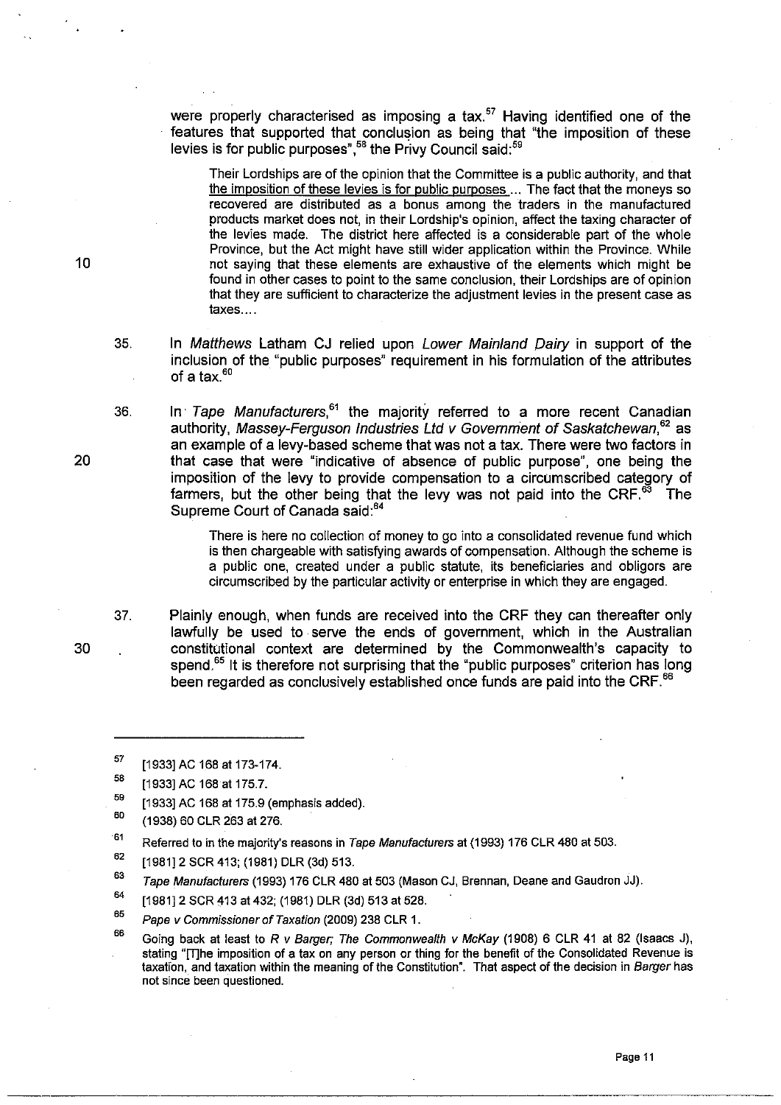were properly characterised as imposing a tax.<sup>57</sup> Having identified one of the features that supported that conclusion as being that "the imposition of these levies is for public purposes",<sup>58</sup> the Privy Council said:<sup>59</sup>

Their Lordships are of the opinion that the Committee is a public authority, and that the imposition of these levies is for public purposes ... The fact that the moneys so recovered are distributed as a bonus among the traders in the manufactured products market does not, in their Lordship's opinion, affect the taxing character of the levies made. The district here affected is a considerable part of the whole Province, but the Act might have still wider application within the Province. While not saying that these elements are exhaustive of the elements which might be found in other cases to point to the same conclusion, their Lordships are of opinion that they are sufficient to characterize the adjustment levies in the present case as taxes ....

- 35. In Matthews Latham CJ relied upon Lower Mainland Dairy in support of the inclusion of the "public purposes" requirement in his formulation of the attributes of a tax $60$
- 36. In Tape Manufacturers,  $61$  the majority referred to a more recent Canadian authority, Massey-Ferguson Industries Ltd  $v$  Government of Saskatchewan.<sup>62</sup> as an example of a levy-based scheme that was not a tax. There were two factors in that case that were "indicative of absence of public purpose", one being the imposition of the levy to provide compensation to a circumscribed category of farmers, but the other being that the levy was not paid into the CRF. $^{63}$  The Supreme Court of Canada said:<sup>64</sup>

There is here no collection of money to go into a consolidated revenue fund which is then chargeable with satisfying awards of compensation. Although the scheme is a public one, created under a public statute, its beneficiaries and obligors are circumscribed by the particular activity or enterprise in which they are engaged.

37. Plainly enough, when funds are received into the CRF they can thereafter only lawfully be used to serve the ends of government, which in the Australian constitutional context are determined by the Commonwealth's capacity to spend.<sup>65</sup> It is therefore not surprising that the "public purposes" criterion has long been regarded as conclusively established once funds are paid into the CRF.<sup>66</sup>

- 60 (1938) 60 CLR 263 at 276.
- 61 Referred to in the majority's reasons in Tape Manufacturers at (1993) 176 CLR 480 at 503.
- 62 [1981]2 SCR 413; (1981) DLR (3d) 513.
- 63 Tape Manufacturers (1993) 176 CLR 480 at 503 (Mason CJ, Brennan, Deane and Gaudron JJ).
- 64 [1981] 2 SCR 413 at 432; (1981) DLR (3d) 513 at 528.
- 65 Pape v Commissioner of Taxation (2009) 238 CLR 1.
- 66 Going back at least to R *v* Barger; The Commonwealth *v* McKay (1908) 6 CLR 41 at 82 (Isaacs J), stating "[T]he imposition of a tax on any person or thing for the benefit of the Consolidated Revenue is taxation, and taxation within the meaning of the Constitution". That aspect of the decision in Barger has **not since been questioned.**

20

30

<sup>57</sup>  [1933] AC 168 at 173-174.

<sup>5</sup>B [1933] AC 168 at 175.7.

<sup>59</sup>  [1933] AC 168 at 175.9 (emphasis added).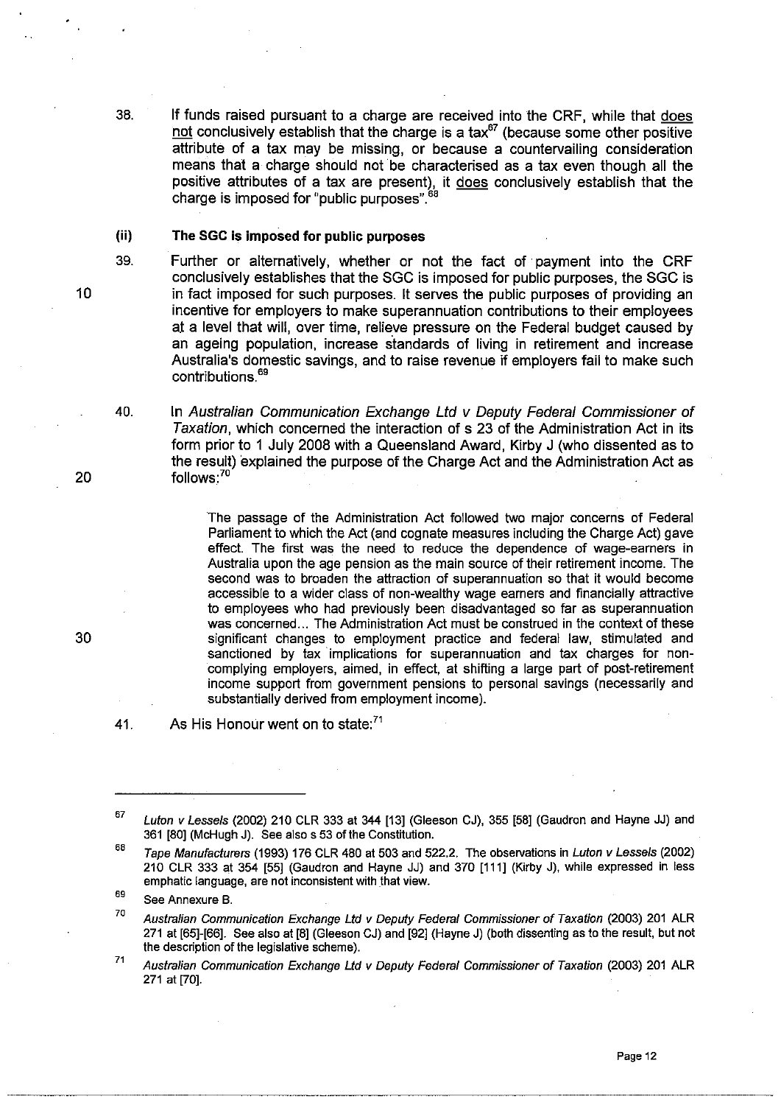38. If funds raised pursuant to a charge are received into the CRF, while that does not conclusively establish that the charge is a tax $^{67}$  (because some other positive attribute of a tax may be missing, or because a countervailing consideration means that a charge should not be characterised as a tax even though all the positive attributes of a tax are present), it does conclusively establish that the charge is imposed for "public purposes".<sup>68</sup>

### (ii) The SGC is imposed **for** public purposes

- Further or alternatively, whether or not the fact of' payment into the CRF conclusively establishes that the SGC is imposed for public purposes, the SGC is in fact imposed for such purposes. It serves the public purposes of providing an incentive for employers to make superannuation contributions to their employees at a level that will, over time, relieve pressure on the Federal budget caused by an ageing population, increase standards of living in retirement and increase Australia's domestic savings, and to raise revenue if employers fail to make such contributions.<sup>69</sup>
- 40. In Australian Communication Exchange Ltd v Deputy Federal Commissioner of Taxation, which concerned the interaction of s 23 of the Administration Act in its form prior to 1 July 2008 with a Queensland Award, Kirby J (who dissented as to the result) explained the purpose of the Charge Act and the Administration Act as follows:<sup>70</sup>

The passage of the Administration Act followed two major concerns of Federal Parliament to which the Act (and cognate measures including the Charge Act) gave effect. The first was the need to reduce the dependence of wage-earners in Australia upon the age pension as the main source of their retirement income. The second was to broaden the attraction of superannuation so that it would become accessible to a wider class of non-wealthy wage earners and financially attractive to employees who had previously been disadvantaged so far as superannuation was concerned... The Administration Act must be construed in the context of these significant changes to employment practice and federal law, stimulated and sanctioned by tax implications for superannuation and tax charges for noncomplying employers, aimed, in effect, at shifting a large part of post-retirement income support from government pensions to personal savings (necessarily and substantially derived from employment income).

41. As His Honour went on to state:<sup>71</sup>

20

10

39.

<sup>67</sup>  Luton v Lessels (2002) 210 CLR 333 at 344 [13] (Gleeson CJ), 355 [58] (Gaudron and Hayne JJ) and 361 [80] (McHugh J). See also s 53 of the Constitution.

<sup>68</sup>  Tape Manufacturers (1993) 176 CLR 480 at 503 and 522.2. The observations in Luton v Lessels (2002) 210 CLR 333 at 354 [55] (Gaudron and Hayne JJ) and 370 [111] (Kirby J), while expressed in less emphatic language, are not inconsistent with that view.

<sup>69</sup>  See Annexure B.

<sup>70</sup>  Australian Communication Exchange Ltd v Deputy Federal Commissioner of Taxation (2003) 201 ALR 271 at [65]-[66]. See also at [8] (Gleeson CJ) and [92] (Hayne J) (both dissenting as to the result, but not the description of the legislative scheme).

<sup>71</sup>  Australian Communication Exchange Lld v Deputy Federal Commissioner of Taxation (2003) 201 ALR 271 at [70].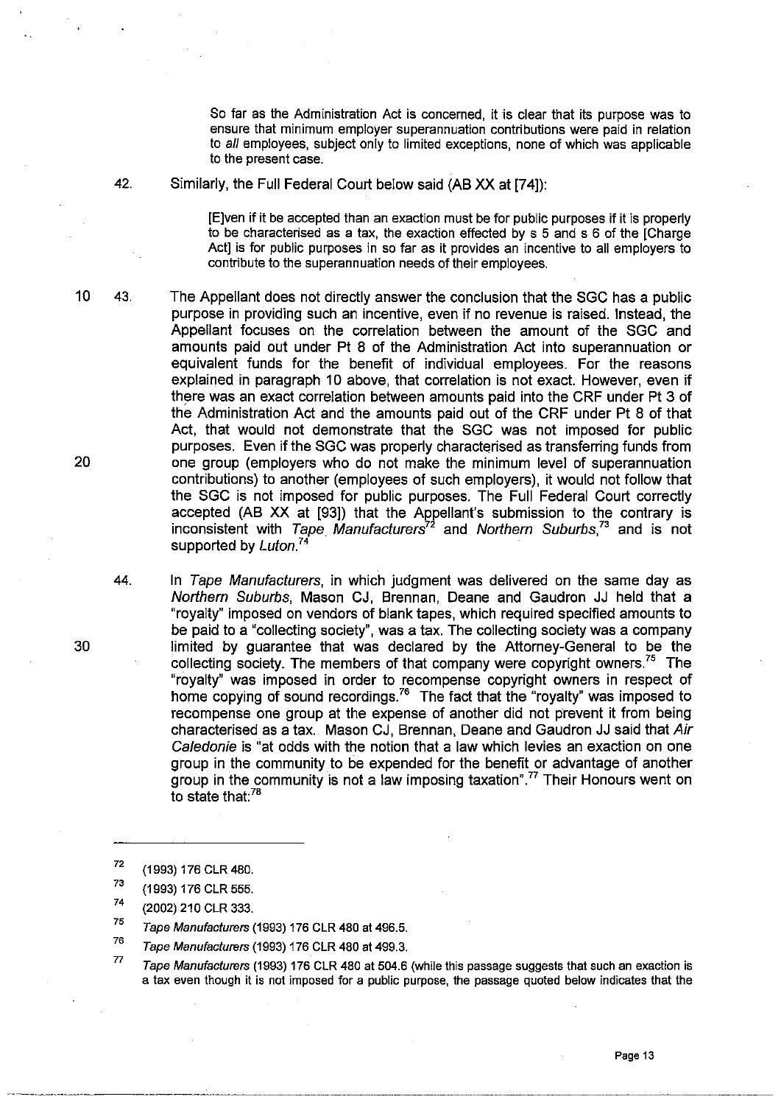So far as the Administration Act is concerned, it is clear that its purpose was to ensure that minimum employer superannuation contributions were paid in relation to aI/ employees, subject only to limited exceptions, none of which was applicable to the present case.

42. Similarly, the Full Federal Court below said (AB XX at [74]):

[E]ven if it be accepted than an exaction must be for public purposes if it is properly to be characterised as a tax, the exaction effected by s 5 and s 6 of the [Charge Act] is for public purposes in so far as it provides an incentive to all employers to contribute to the superannuation needs of their employees.

10 43.

The Appellant does not directly answer the conclusion that the SGC has a public purpose in providing such an incentive, even if no revenue is raised. Instead, the Appellant focuses on the correlation between the amount of the SGC and amounts paid out under Pt 8 of the Administration Act into superannuation or equivalent funds for the benefit of individual employees. For the reasons explained in paragraph 10 above, that correlation is not exact. However, even if there was an exact correlation between amounts paid into the CRF under Pt 3 of the Administration Act and the amounts paid out of the CRF under Pt 8 of that Act, that would not demonstrate that the SGC was not imposed for public purposes. Even if the SGC was properly characterised as transferring funds from one group (employers who do not make the minimum level of superannuation contributions) to another (employees of such employers), it would not follow that the SGC is not imposed for public purposes. The Full Federal Court correctly accepted (AB XX at [93]) that the Appellant's submission to the contrary is inconsistent with Tape Manufacturers<sup>72</sup> and Northern Suburbs,<sup>73</sup> and is not supported by Luton.<sup>74</sup>

In Tape Manufacturers, in which judgment was delivered on the same day as Northern Suburbs, Mason CJ, Brennan, Deane and Gaudron JJ held that a "royalty" imposed on vendors of blank tapes, which required specified amounts to be paid to a "collecting society", was a tax. The collecting society was a company limited by guarantee that was declared by the Attorney-General to be the collecting society. The members of that company were copyright owners.<sup>75</sup> The "royalty" was imposed in order to recompense copyright owners in respect of home copying of sound recordings.<sup>76</sup> The fact that the "royalty" was imposed to recompense one group at the expense of another did not prevent it from being characterised as a tax. Mason CJ, Brennan, Deane and Gaudron JJ said that Air Caledonie is "at odds with the notion that a law which levies an exaction on one group in the community to be expended for the benefit or advantage of another group in the community is not a law imposing taxation", $\frac{77}{7}$  Their Honours went on to state that: $78$ 

72 (1993) 176 CLR 480.

.. --.--.... ~.---~------.. -•.. ---------~.--------

77 Tape Manufacturers (1993) 176 CLR 480 at 504.6 (while this passage suggests that such an exaction is a tax even though it is not imposed for a public purpose, the passage quoted below indicates that the

44.

<sup>73</sup>  (1993) 176 CLR 555.

<sup>74</sup>  (2002) 210 CLR 333.

<sup>75</sup>  Tape Manufacturers (1993) 176 CLR 480 at 496.5.

<sup>76</sup>  Tape Manufacturers (1993) 176 CLR 480 at 499.3.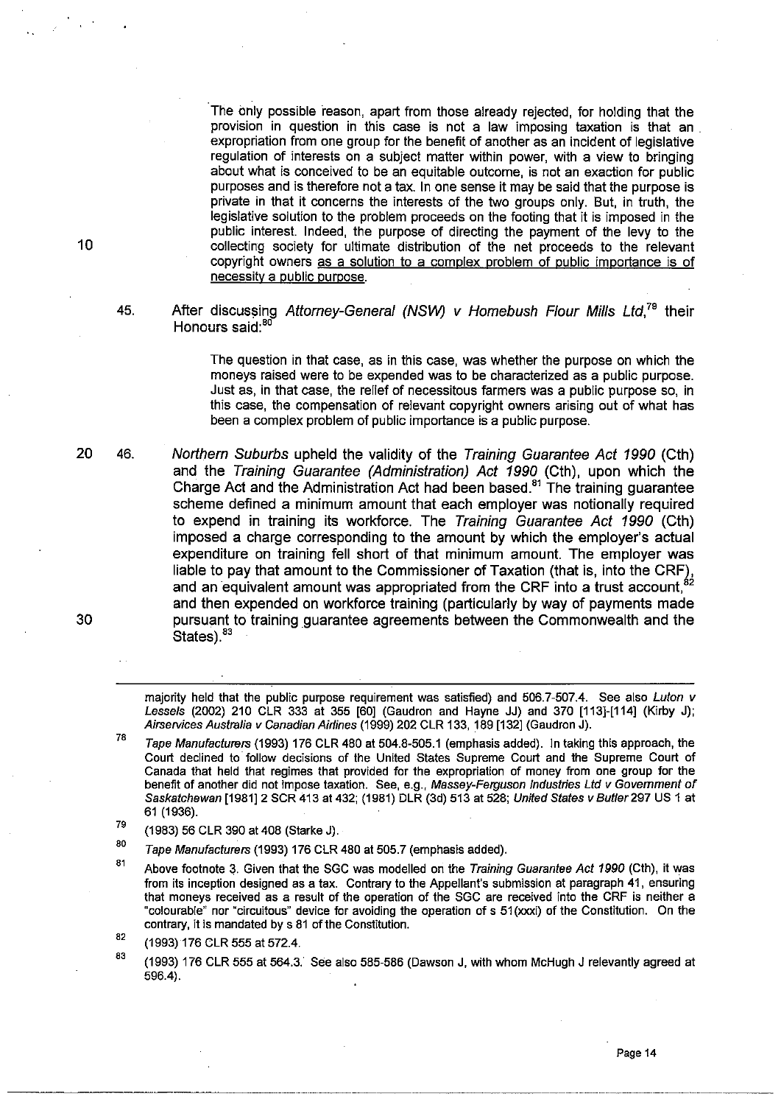The only possible reason, apart from those already rejected, for holding that the provision in question in this case is not a law imposing taxation is that an . expropriation from one group for the benefit of another as an incident of legislative regulation of interests on a subject matter within power, with a view to bringing about what is conceived to be an equitable outcome, is not an exaction for public purposes and is therefore not a tax. In one sense it may be said that the purpose is private in that it concerns the interests of the two groups only. But, in truth, the legislative solution to the problem proceeds on the footing that it is imposed in the public interest. Indeed, the purpose of directing the payment of the levy to the collecting society for ultimate distribution of the net proceeds to the relevant copyright owners as a solution to a complex problem of public importance is of necessity a public purpose.

#### 45. After discussing Attorney-General (NSW) v Homebush Flour Mills Ltd.<sup>79</sup> their Honours said: $80$

The question in that case, as in this case, was whether the purpose on which the moneys raised were to be expended was to be characterized as a public purpose. Just as, in that case, the relief of necessitous farmers was a public purpose 50, in this case, the compensation of relevant copyright owners arising out of what has been a complex problem of public importance is a public purpose.

46. Northern Suburbs upheld the validity of the Training Guarantee Act 1990 (Cth) and the Training Guarantee (Administration) Act 1990 (Cth), upon which the Charge Act and the Administration Act had been based.<sup>81</sup> The training guarantee scheme defined a minimum amount that each employer was notionally required to expend in training its workforce. The Training Guarantee Act 1990 (Cth) imposed a charge corresponding to the amount by which the employer's actual expenditure on training fell short of that minimum amount. The employer was liable to pay that amount to the Commissioner of Taxation (that is, into the CRF), and an equivalent amount was appropriated from the CRF into a trust account, $\degree$ and then expended on workforce training (particularly by way of payments made pursuant to training guarantee agreements between the Commonwealth and the  $States)$ . $83$ 

majority held that the public purpose requirement was satisfied) and 506.7-507.4. See also Luton v Lessels (2002) 210 CLR 333 at 355 [60] (Gaudron and Hayne JJ) and 370 [113]-[114] (Kirby J); Airservices Australia v Canadian Airlines (1999) 202 CLR 133, 189 [132] (Gaudron J).

10

20

<sup>7</sup>B Tape Manufacturers (1993) 176 CLR 480 at 504.8-505.1 (emphasis added). In taking this approach, the Court declined to' follow decisions of the United States Supreme Court and the Supreme Court of Canada that held that regimes that provided for the expropriation of money from one group for the benefit of another did not impose taxation. See, e.g., Massey-Ferguson Industries Ltd v Government of Saskatchewan [1981]2 SCR 413 at 432; (1981) DLR (3d) 513 at 528; United States v Butler 297 US 1 at 61 (1936).

<sup>79</sup>  (1983) 56 CLR 390 at 408 (Starke J).

BO Tape Manufacturers (1993) 176 CLR 480 at 505.7 (emphasis added).

B1 Above footnote 3. Given that the SGC was modelled on the Training Guarantee Act 1990 (Cth), it was from its inception designed as a tax. Contrary to the Appellant's submission at paragraph 41, ensuring that moneys received as a result of the operation of the SGC are received into the CRF is neither a "colourable" nor "circuitous" device for avoiding the operation of s 51 (xxxi) of the Constitution. On the contrary, it is mandated by s 81 of the Constitution.

<sup>82</sup>  (1993)176 CLR 555 at 572.4.

<sup>83</sup>  (1993) 176 CLR 555 at 564.3. See also 585-586 (Dawson J, with whom McHugh J relevantly agreed at 596.4).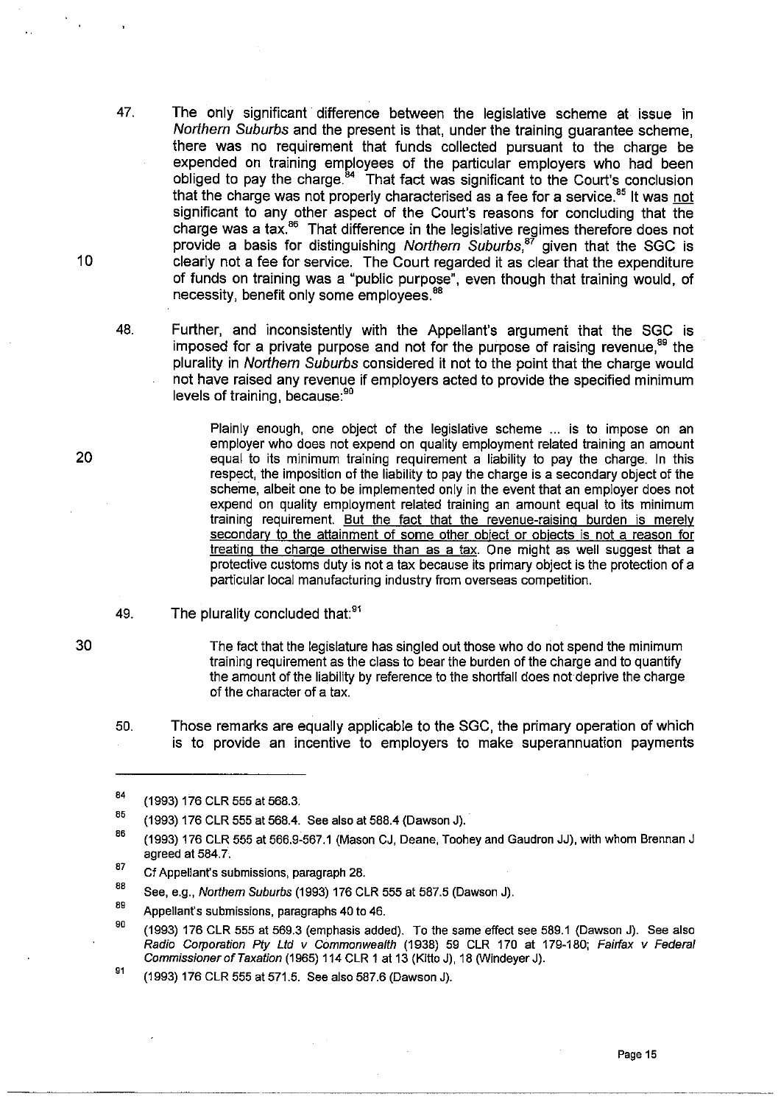- 47. The only significant difference between the legislative scheme at issue in Northern Suburbs and the present is that, under the training quarantee scheme. there was no requirement that funds collected pursuant to the charge be expended on training employees of the particular employers who had been obliged to pay the charge.<sup>84</sup> That fact was significant to the Court's conclusion that the charge was not properly characterised as a fee for a service. $85$  It was not significant to any other aspect of the Court's reasons for concluding that the charge was a tax.<sup>86</sup> That difference in the legislative regimes therefore does not provide a basis for distinguishing Northern Suburbs,<sup>87</sup> given that the SGC is clearly not a fee for service. The Court regarded it as clear that the expenditure of funds on training was a "public purpose", even though that training would, of necessity, benefit only some employees.<sup>88</sup>
- 48. Further, and inconsistently with the Appellant's argument that the SGC is imposed for a private purpose and not for the purpose of raising revenue, $88$  the plurality in Northern Suburbs considered it not to the point that the charge would not have raised any revenue if employers acted to provide the specified minimum levels of training, because: 90

Plainly enough, one object of the legislative scheme ... is to impose on an employer who does not expend on quality employment related training an amount equal to its minimum training requirement a liability to pay the charge. In this respect, the imposition of the liability to pay the charge is a secondary object of the scheme, albeit one to be implemented only in the event that an employer does not expend on quality employment related training an amount equal to its minimum training requirement. But the fact that the revenue-raising burden is merelv secondary to the attainment of some other object or objects is not a reason for treating the charge otherwise than as a tax. One might as well suggest that a protective customs duty is not a tax because its primary object is the protection of a particular local manufacturing industry from overseas competition.

49. The plurality concluded that:<sup>91</sup>

> The fact that the legislature has singled out those who do not spend the minimum training requirement as the class to bear the burden of the charge and to quantify the amount of the liability by reference to the shortfall does not deprive the charge of the character of a tax.

50. Those remarks are equally applicable to the SGC, the primary operation of which is to provide an incentive to employers to make superannuation payments

-------\_.\_-\_.\_---

89 Appellant's submissions, paragraphs 40 to 46.

90 (1993) 176 CLR 555 at 569.3 (emphasis added). To the same effect see 589.1 (Dawson J). See also Radio Corporation Ply Lld *v* Commonwealth (1938) 59 CLR 170 at 179-180; Fairfax *v* Federal Commissioner of Taxation (1965) 114 CLR 1 at 13 (Kitto J), 18 (Windeyer J).

91 (1993) 176 CLR 555 at 571.5. See also 587.6 (Dawson J).

20

10

B4 (1993) 176 CLR 555 at 568.3.

B5 (1993) 176 CLR 555 at 568.4. See also at 588.4 (Dawson J).

B6 (1993) 176 CLR 555 at 566.9-567.1 (Mason CJ, Deane, Toohey and Gaudron JJ), with whom Brennan J agreed at 584.7.

<sup>87</sup>  Cf Appellant's submissions, paragraph 28.

<sup>88</sup>  See, e.g., Northem Suburbs (1993) 176 CLR 555 at 587.5 (Dawson J).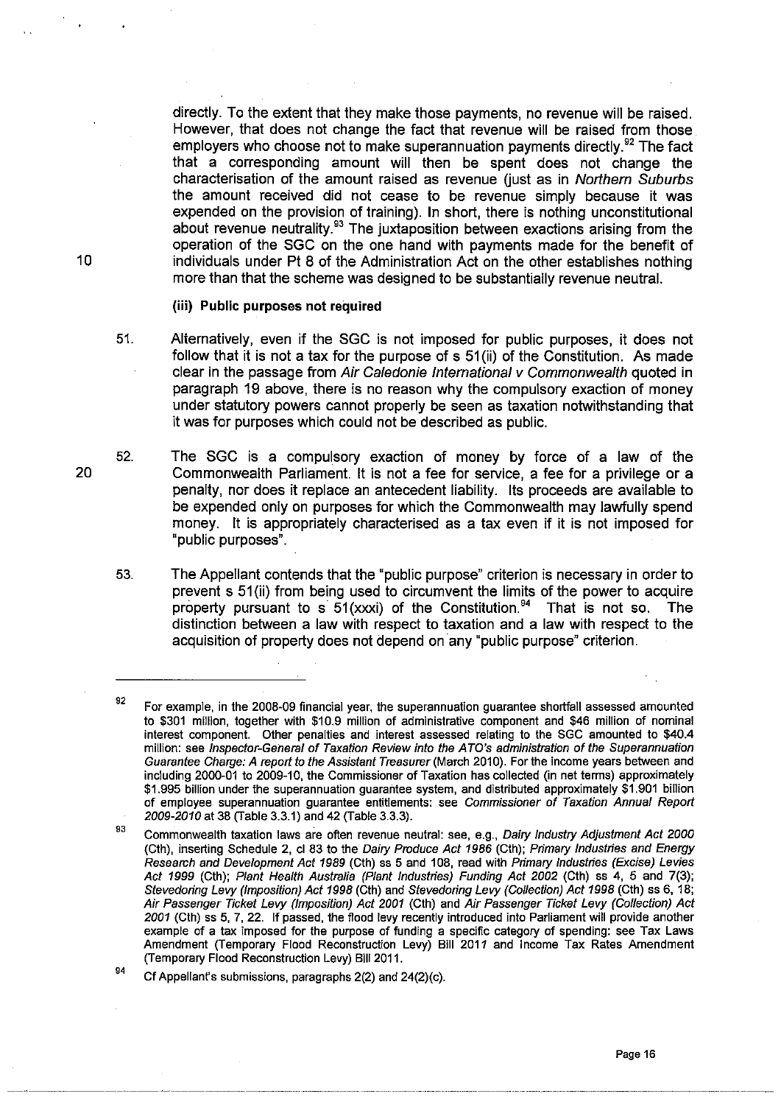directly. To the extent that they make those payments, no revenue will be raised. However, that does not change the fact that revenue will be raised from those employers who choose not to make superannuation payments directly.<sup>92</sup> The fact that a corresponding amount will then be spent does not change the characterisation of the amount raised as revenue (just as in Northern Suburbs the amount received did not cease to be revenue simply because it was expended on the provision of training). In short, there is nothing unconstitutional about revenue neutrality.<sup>93</sup> The juxtaposition between exactions arising from the operation of the SGC on the one hand with payments made for the benefit of individuals under Pt 8 of the Administration Act on the other establishes nothing more than that the scheme was designed to be substantially revenue neutral.

#### (iii) Public purposes not required

- 51. Alternatively, even if the SGC is not imposed for public purposes, it does not follow that it is not a tax for the purpose of s 51(ii) of the Constitution. As made clear in the passage from Air Caledonie International v Commonwealth quoted in paragraph 19 above, there is no reason why the compulsory exaction of money under statutory powers cannot properly be seen as taxation notwithstanding that it was for purposes which could not be described as public.
- 52. The SGC is a compulsory exaction of money by force of a law of the Commonwealth Parliament. It is not a fee for service, a fee for a privilege or a penalty, nor does it replace an antecedent liability. Its proceeds are available to be expended only on purposes for which the Commonwealth may lawfully spend money. It is appropriately characterised as a tax even if it is not imposed for "public purposes".
	- 53. The Appellant contends that the "public purpose" criterion is necessary in order to prevent s 51 (ii) from being used to circumvent the limits of the power to acquire property pursuant to s  $51$ (xxxi) of the Constitution.<sup>94</sup> That is not so. The distinction between a law with respect to taxation and a law with respect to the acquisition of property does not depend on any "public purpose" criterion.

---.. \_---\_ .... \_ ........ \_\_ .......... \_.\_.\_.\_ .... \_ ..

10

<sup>92</sup>  For example, in the 2008-09 financial year, the superannuation guarantee shortfall assessed amounted to \$301 million, together with \$10.9 million of administrative component and \$46 million of nominal interest component. Other penalties and interest assessed relating to the SGC amounted to \$40.4 million: see Inspector-General of Taxation Review into the A TO's administration of the Superannuation Guarantee Charge: A report to the Assistant Treasurer (March 2010). For the income years between and including 2000-01 to 2009-10, the Commissioner of Taxation has collected (in net terms) approximately \$1.995 billion under the superannuation guarantee system, and distributed approximately \$1.901 billion of employee superannuation guarantee entitlements: see Commissioner of Taxation Annual Report 2009-2010 at 38 (Table 3.3.1) and 42 (Table 3.3.3).

<sup>93</sup>  Commonwealth taxation laws are often revenue neutral: see, e.g., Dairy Industry Adjustment Act 2000 (Cth), inserting Schedule 2, cl 83 to the Dairy Produce Act 1986 (Cth); Primary Industries and Energy Research and Development Act 1989 (Cth) ss 5 and 108, read with Primary Industries (Excise) Levies Act 1999 (Cth); Plant Health Australia (Plant Industries) Funding Act 2002 (Cth) ss 4, 5 and 7(3); Stevedoring Levy (Imposition) Act 1998 (Cth) and Stevedoring Levy (Collection) Act 1998 (Cth) ss 6, 18; Air Passenger Ticket Levy (Imposition) Act 2001 (Cth) and Air Passenger Ticket Levy (Collection) Act 2001 (Cth) ss 5, 7, 22. If passed, the flood levy recently introduced into Parliament will provide another example of a tax imposed for the purpose of funding a specific category of spending: see Tax Laws Amendment (Temporary Flood Reconstruction Levy) Bill 2011 and Income Tax Rates Amendment (Temporary Flood Reconstruction Levy) Bill 2011.

<sup>94</sup>  Cf Appellant's submissions, paragraphs 2(2) and 24(2)(c).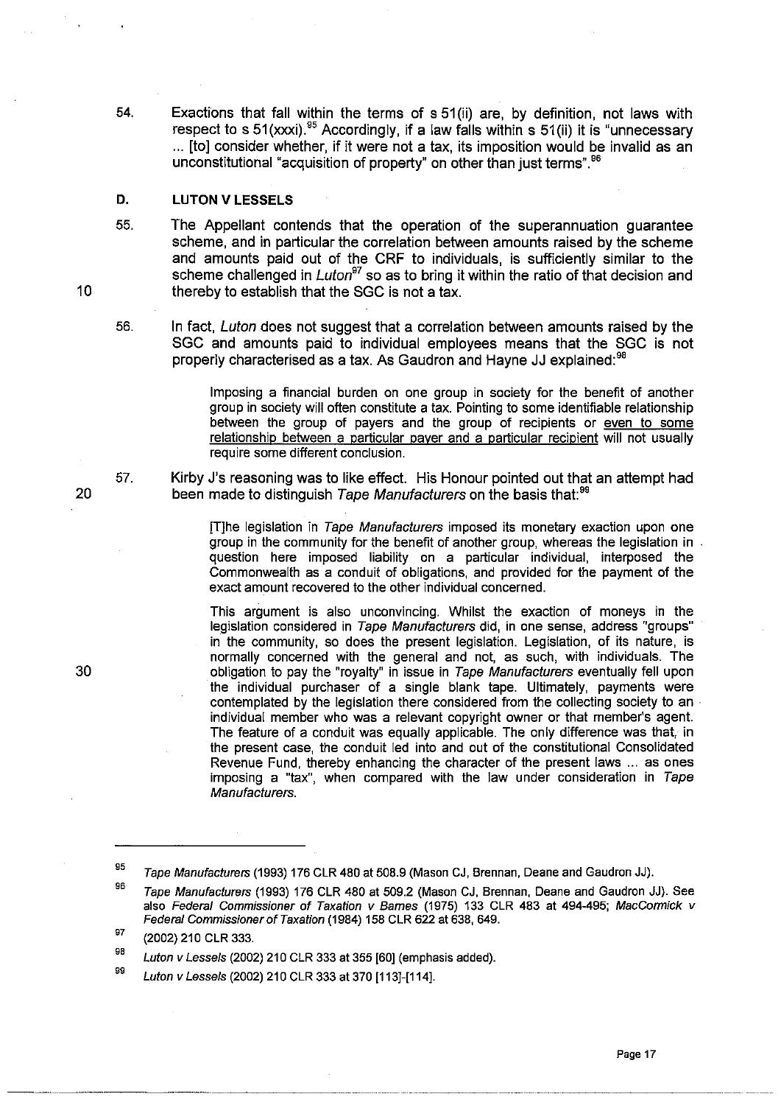54. Exactions that fall within the terms of s 51 (ii) are, by definition, not laws with respect to s 51 (xxxi).<sup>95</sup> Accordingly, if a law falls within s 51 (ii) it is "unnecessary ... [to] consider whether, if it were not a tax, its imposition would be invalid as an unconstitutional "acquisition of property" on other than iust terms". 96

### **D. LUTON V LESSELS**

- 55. The Appellant contends that the operation of the superannuation guarantee scheme, and in particular the correlation between amounts raised by the scheme and amounts paid out of the CRF to individuals, is sufficiently similar to the scheme challenged in *Luton<sup>97</sup>* so as to bring it within the ratio of that decision and thereby to establish that the SGC is not a tax.
- 56. In fact, Luton does not suggest that a correlation between amounts raised by the SGC and amounts paid to individual employees means that the SGC is not properly characterised as a tax. As Gaudron and Hayne JJ explained: 98

Imposing a financial burden on one group in society for the benefit of another group in society will often constitute a tax. Pointing to some identifiable relationship between the group of payers and the group of recipients or even to some relationship between a particular payer and a particular recipient will not usually require some different conclusion.

57. Kirby J's reasoning was to like effect. His Honour pointed out that an attempt had been made to distinguish Tape Manufacturers on the basis that:<sup>99</sup>

> [T]he legislation in Tape Manufacturers imposed its monetary exaction upon one group in the community for the benefit of another group, whereas the legislation in question here imposed liability on a particular individual, interposed the Commonwealth as a conduit of obligations, and provided for the payment of the exact amount recovered to the other individual concerned.

> This argument is also unconvincing. Whilst the exaction of moneys in the legislation considered in Tape Manufacturers did, in one sense, address "groups" in the community, so does the present legislation. Legislation, of its nature, is normally concerned with the general and not, as such, with individuals. The obligation to pay the "royalty" in issue in Tape Manufacturers eventually fell upon the individual purchaser of a single blank tape. Ultimately, payments were contemplated by the legislation there considered from the collecting society to an . individual member who was a relevant copyright owner or that member's agent. The feature of a conduit was equally applicable. The only difference was that, in the present case, the conduit led into and out of the constitutional Consolidated Revenue Fund, thereby enhancing the character of the present laws ... as ones imposing a "tax", when compared with the law under consideration in Tape Manufacturers.

97 (2002) 210 CLR 333.

9B Luton v Lessels (2002) 210 CLR 333 at 355 [60] (emphasis added).

99 Luton v Lessels (2002) 210 CLR 333 at 370 [113]-[114].

20

<sup>95</sup>  Tape Manufacturers (1993) 176 CLR 480 at 508.9 (Mason CJ, Brennan. Deane and Gaudron JJ).

<sup>96</sup>  Tape Manufacturers (1993) 176 CLR 480 at 509.2 (Mason CJ, Brennan, Deane and Gaudron JJ). See also Federal Commissioner of Taxation v Bames (1975) 133 CLR 483 at 494-495; MacCormick v Federal Commissioner of Taxation (1984) 158 CLR 622 at 638, 649.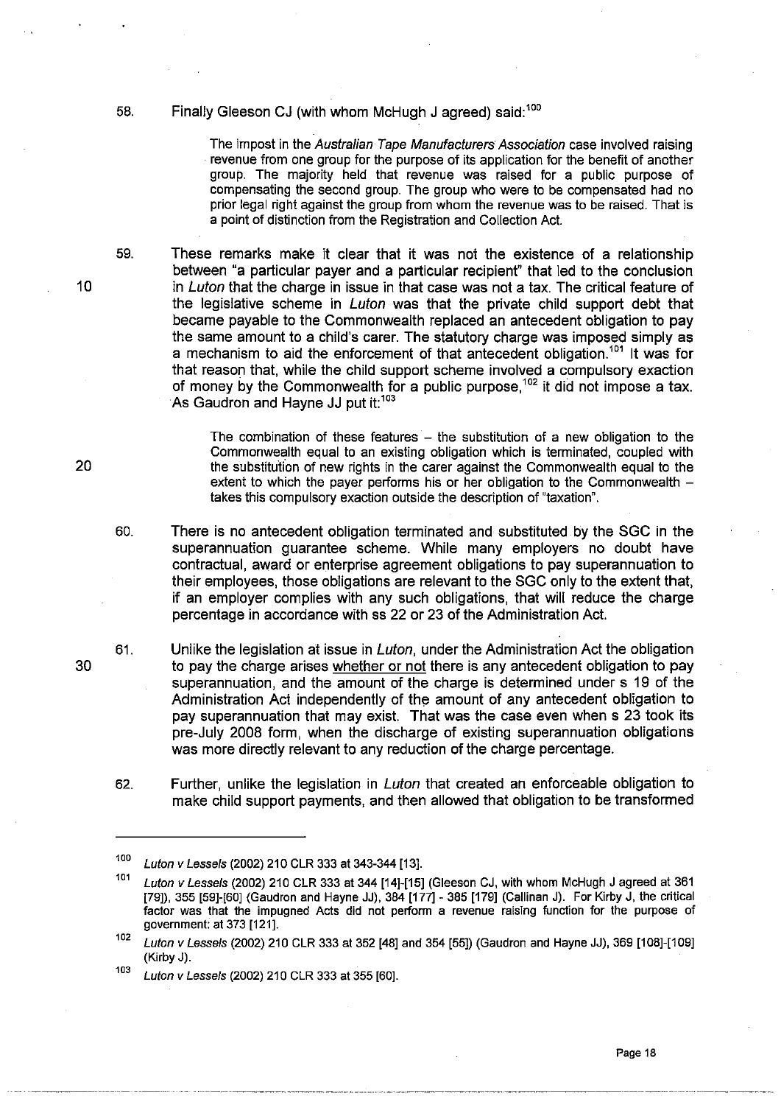58. Finally Gleeson CJ (with whom McHugh J agreed) said: 100

The impost in the Australian Tape Manufacturers' Association case involved raising revenue from one group for the purpose of its application for the benefit of another group. The majority held that revenue was raised for a public purpose of compensating the second group. The group who were to be compensated had no prior legal right against the group from whom the revenue was to be raised. That is a point of distinction from the Registration and Collection Act.

59. These remarks make it clear that it was not the existence of a relationship between "a particular payer and a particular recipient" that led to the conclusion in Luton that the charge in issue in that case was not a tax. The critical feature of the legislative scheme in Luton was that the private child support debt that became payable to the Commonwealth replaced an antecedent obligation to pay the same amount to a child's carer. The statutory charge was imposed simply as a mechanism to aid the enforcement of that antecedent obligation.<sup>101</sup> It was for<br>that reason that while the child support schome involved a compulsory exaction. that reason that, while the child support scheme involved a compulsory exaction of money by the Commonwealth for a public purpose,  $102$  it did not impose a tax. As Gaudron and Hayne JJ put it:<sup>103</sup>

> The combination of these features  $-$  the substitution of a new obligation to the Commonwealth equal to an existing obligation which is terminated, coupled with the SUbstitution of new rights in the carer against the Commonwealth equal to the extent to which the payer performs his or her obligation to the Commonwealth  $$ takes this compulsory exaction outside the description of "taxation".

60. There is no antecedent obligation terminated and substituted by the SGC in the superannuation guarantee scheme. While many employers no doubt have contractual, award or enterprise agreement obligations to pay superannuation to their employees, those obligations are relevant to the SGC only to the extent that, if an employer complies with any such obligations, that will reduce the charge percentage in accordance with ss 22 or 23 of the Administration Act.

61. Unlike the legislation at issue in *Luton*, under the Administration Act the obligation to pay the charge arises whether or not there is any antecedent obligation to pay superannuation, and the amount of the charge is determined under s 19 of the Administration Act independently of the amount of any antecedent obligation to pay superannuation that may exist. That was the case even when s 23 took its pre-July 2008 form, when the discharge of existing superannuation obligations was more directly relevant to any reduction of the charge percentage.

62. Further, unlike the legislation in Luton that created an enforceable obligation to make child support payments, and then allowed that obligation to be transformed

10

30

*<sup>100</sup>* Luton v Lessels (2002) 210 CLR 333 at 343-344 [13].

*<sup>101</sup>*Luton v Lessels (2002) 210 CLR 333 at 344 [14]-[15] (Gleeson CJ, with whom McHugh J agreed at 361 [79]), 355 [59]-[60] (Gaudron and Hayne JJ), 384 [177] - 385 [179] (Callinan J). For Kirby J, the critical factor was that the impugned Acts did not perform a revenue raising function for the purpose of government: at 373 [121].

*<sup>102</sup>* Luton v Lessels (2002) 210 CLR 333 at 352 [48] and 354 [55]) (Gaudron and Hayne JJ), 369 [108]-[109] (Kirby J).

*<sup>103</sup>* Luton v Lessels (2002) 210 CLR 333 at 355 [60].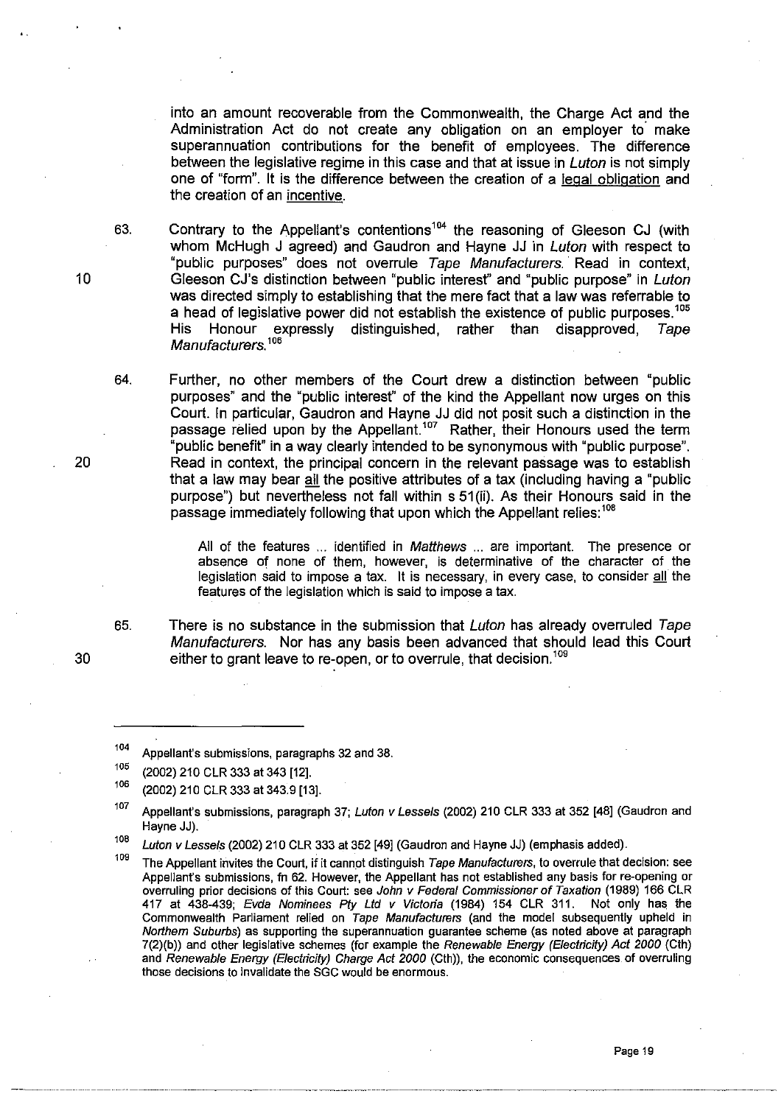into an amount recoverable from the Commonwealth, the Charge Act and the Administration Act do not create any obligation on an employer to make superannuation contributions for the benefit of employees. The difference between the legislative regime in this case and that at issue in *Luton* is not simply one of "form". It is the difference between the creation of a legal obligation and the creation of an incentive.

63. Contrary to the Appellant's contentions<sup>104</sup> the reasoning of Gleeson CJ (with whom McHugh J agreed) and Gaudron and Hayne JJ in Luton with respect to "public purposes" does not overrule Tape Manufacturers. Read in context, Gleeson CJ's distinction between "public interest" and "public purpose" in Luton was directed simply to establishing that the mere fact that a law was referrable to a head of legislative power did not establish the existence of public purposes. $^{\rm 105}$ His Honour expressly distinguished, rather than disapproved, Tape Manufacturers.<sup>106</sup>

Further, no other members of the Court drew a distinction between "public purposes" and the "public interest" of the kind the Appellant now urges on this Court. In particular, Gaudron and Hayne JJ did not posit such a distinction in the passage relied upon by the Appellant.<sup>107</sup> Rather, their Honours used the term "public benefit" in a way clearly intended to be synonymous with "public purpose". Read in context, the principal concern in the relevant passage was to establish that a law may bear all the positive attributes of a tax (including having a "public purpose") but nevertheless not fall within s 51 (ii). As their Honours said in the passage immediately following that upon which the Appellant relies:<sup>108</sup>

All of the features ... identified in Matthews ... are important. The presence or absence of none of them, however, is determinative of the character of the legislation said to impose a tax. It is necessary, in every case, to consider all the features of the legislation which is said to impose a tax.

65. There is no substance in the submission that *Luton* has already overruled Tape Manufacturers. Nor has any basis been advanced that should lead this Court either to grant leave to re-open, or to overrule, that decision.<sup>109</sup>

10

20

64.

30

--~--.----.------------- ------~~~~

<sup>104</sup>  Appellant's submissions, paragraphs 32 and 38.

<sup>105</sup> (2002) 210 CLR 333 at 343 [12].

 $106$  (2002) 210 CLR 333 at 343.9 [13].

<sup>107</sup> Appellant's submissions, paragraph 37; Luton v Lessels (2002) 210 CLR 333 at 352 [48] (Gaudron and Hayne JJ).

<sup>108</sup> Luton v Lessels (2002) 210 CLR 333 at 352 [49] (Gaudron and Hayne JJ) (emphasis added).

<sup>&</sup>lt;sup>109</sup> The Appellant invites the Court, if it cannot distinguish Tape Manufacturers, to overrule that decision: see Appellant's submissions, fn 62. However, the Appellant has not established any basis for re-opening or overruling prior decisions of this Court: see John v Federal Commissioner of Taxation (1989) 166 CLR 417 at 438-439; Evda Nominees Pty Ltd v Victoria (1984) 154 CLR 311. Not only has the Commonwealth Parliament relied on Tape Manufacturers (and the model subsequently upheld in Northern Suburbs) as supporting the superannuation guarantee scheme (as noted above at paragraph 7(2)(b)) and other legislative schemes (for example the Renewable Energy (Electricity) Act 2000 (Cth) and Renewable Energy (Electricity) Charge Act 2000 (Cth)), the economic consequences of overruling those decisions to invalidate the SGC would be enormous.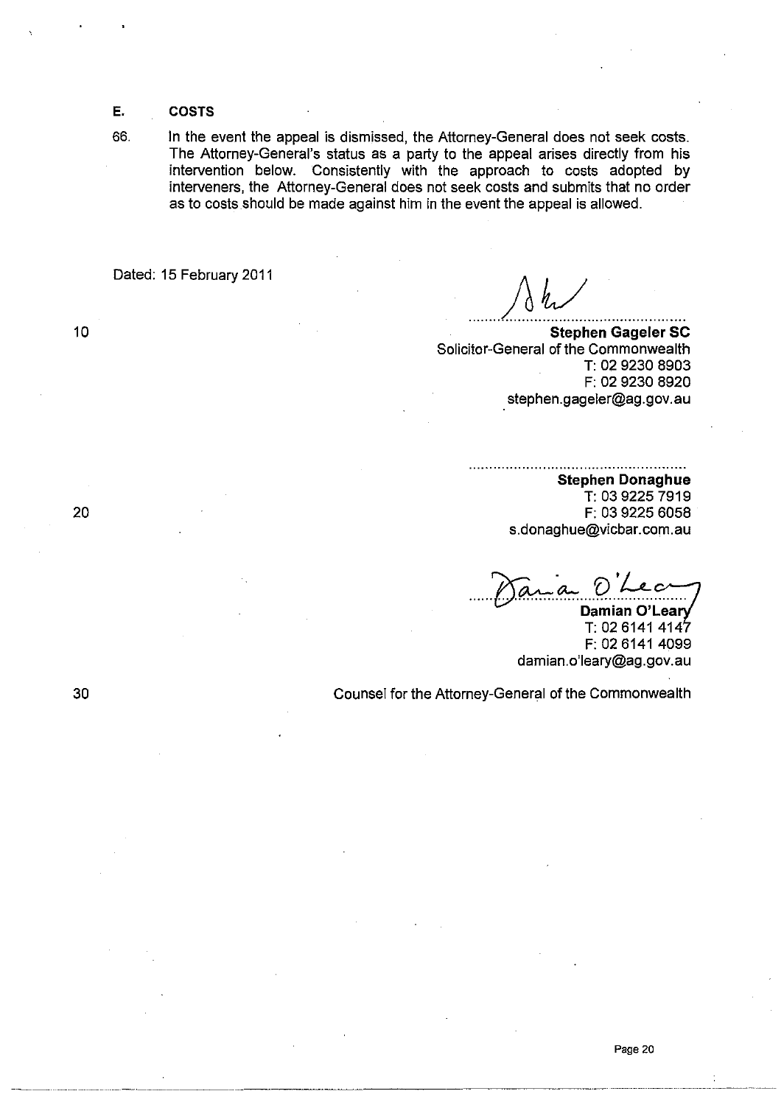**E. COSTS** 

66. In the event the appeal is dismissed, the Attorney-General does not seek costs. The Attorney-General's status as a party to the appeal arises directly from his intervention below. Consistently with the approach to costs adopted by interveners, the Attorney-General does not seek costs and submits that no order as to costs should be made against him in the event the appeal is allowed.

Dated: 15 February 2011

*........ A ..*h! ....................... . **Stephen Gageler SC** 

Solicitor-General of the Commonwealth T: 02 9230 8903 F: 02 9230 8920 stephen.gageler@ag.gov.au

> **Stephen Donaghue**  T: 03 9225 7919 F: 03 9225 6058 s.donaghue@vicbar.com.au

Damian O'Leary T: 02 6141 4147 F: 02 6141 4099 damian.o'leary@ag.gov.au

Counsel for the Attorney-General of the Commonwealth

10

20

30

~~---.. ~-.. --' .~--.. -.- .. \_\_ .\_-------\_.\_-\_.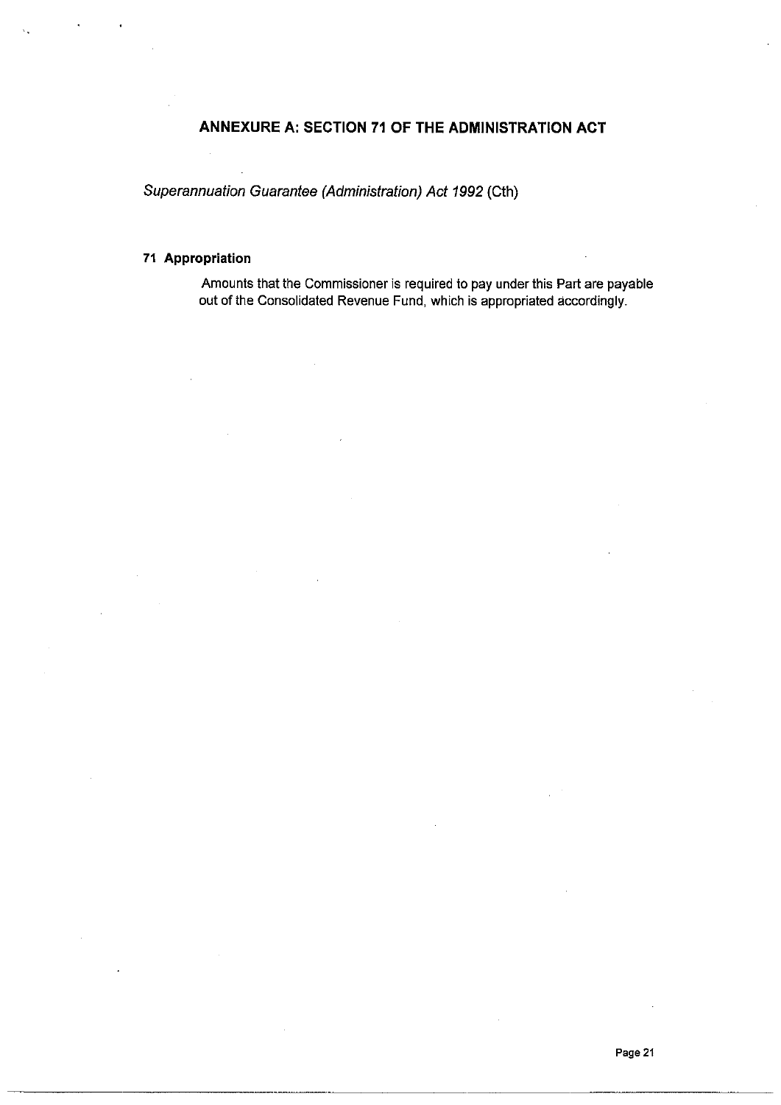# **ANNEXURE A: SECTION 71 OF THE ADMINISTRATION ACT**

Superannuation Guarantee (Administration) Act 1992 (Cth)

# **71 Appropriation**

Amounts that the Commissioner is required to pay under this Part are payable out of the Consolidated Revenue Fund, which is appropriated accordingly.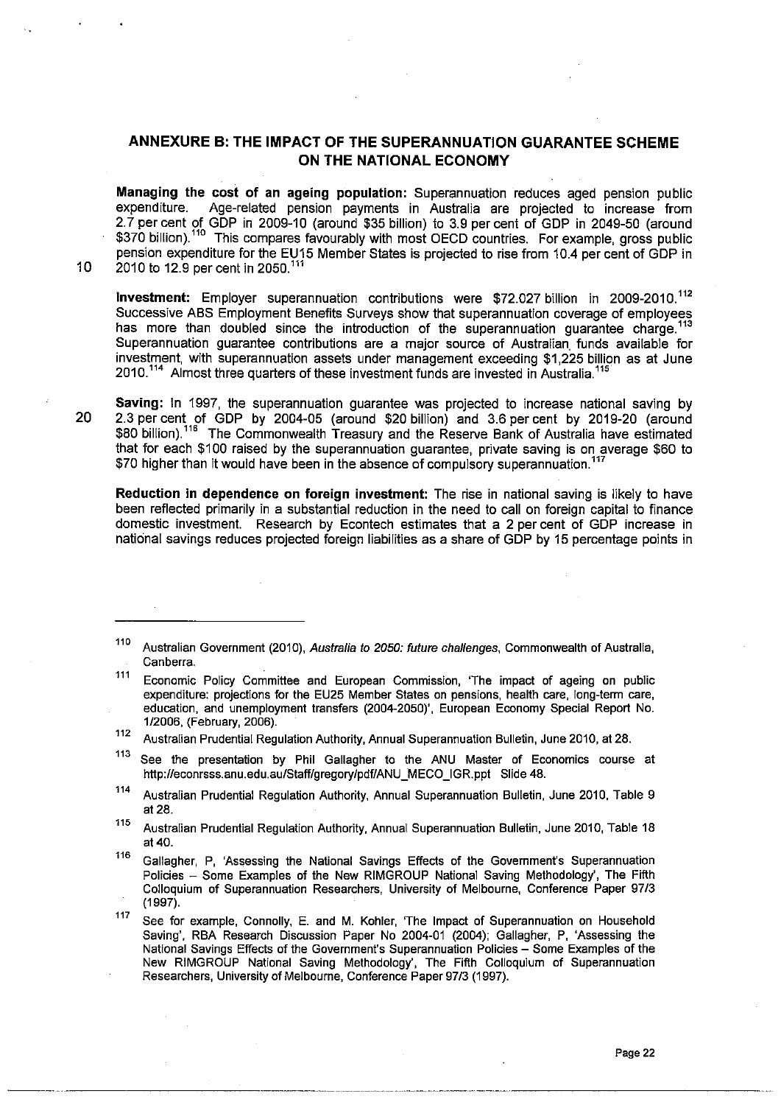# **ANNEXURE B: THE IMPACT OF THE SUPERANNUATION GUARANTEE SCHEME ON THE NATIONAL ECONOMY**

**Managing the cost of an ageing population:** Superannuation reduces aged pension public<br>expenditure. Age-related pension payments in Australia are projected to increase from Age-related pension payments in Australia are projected to increase from 2.7 per cent of GDP in 2009-10 (around \$35 billion) to 3.9 per cent of GDP in 2049-50 (around \$370 billion).''" This compares favourably with most OECD countries. For example, gross public pension expenditure for the EU15 Member States is projected to rise from 10.4 per cent of GDP in 10 2010 to 12.9 per cent in 2050.<sup>11</sup>

**Investment:** Employer superannuation contributions were \$72.027 billion in 2009-2010.'12 Successive ABS Employment Benefits Surveys show that superannuation coverage of employees has more than doubled since the introduction of the superannuation quarantee charge.<sup>113</sup> Superannuation guarantee contributions are a major source of Australian. funds available for investment, with superannuation assets under management exceeding \$1,225 billion as at June 2010.<sup>114</sup> Almost three quarters of these investment funds are invested in Australia.<sup>115</sup>

**Saving:** In 1997, the superannuation guarantee was projected to increase national saving by 20 2.3 per cent of GDP by 2004-05 (around \$20 billion) and 3.6 per cent by 2019-20 (around \$80 billion).<sup>116</sup> The Commonwealth Treasury and the Reserve Bank of Australia have estimated that for each \$100 raised by the superannuation guarantee, private saving is on average \$60 to \$70 higher than it would have been in the absence of compulsory superannuation.<sup>117</sup>

**Reduction in dependence on foreign investment:** The rise in national saving is likely to have been reflected primarily in a substantial reduction in the need to call on foreign capital to finance domestic investment. Research by Econtech estimates that a 2 per cent of GDP increase in national savings reduces projected foreign liabilities as a share of GDP by 15 percentage points in

112 Australian Prudential Regulation Authority, Annual Superannuation Bulletin, June 2010, at 28.

- <sup>113</sup> See the presentation by Phil Gallagher to the ANU Master of Economics course at http://econrsss.anu.edu.au/Staff/gregory/pdf/ANU\_MECO\_IGR.ppt Slide 48.
- 114 Australian Prudential Regulation Authority, Annual Superannuation Bulletin, June 2010, Table 9 at 28.

115 Australian Prudential Regulation Authority, Annual Superannuation Bulletin, June 2010, Table 18 at 40.

<sup>116</sup> Gallagher, P, 'Assessing the National Savings Effects of the Government's Superannuation Policies - Some Examples of the New RIMGROUP National Saving Methodology', The Fifth Colloquium of Superannuation Researchers, University of Melbourne, Conference Paper 97/3 (1997).

117 See for example, Connolly, E. and M. Kohler, 'The Impact of Superannuation on Household Saving', RBA Research Discussion Paper No 2004-01 (2004); Gallagher, P, 'Assessing the National Savings Effects of the Government's Superannuation Policies - Some Examples of the New RIMGROUP National Saving Methodology', The Fifth Colloquium of Superannuation Researchers, University of Melbourne, Conference Paper 97/3 (1997).

<sup>110</sup> Australian Governrnent (2010), Australia to 2050: future challenges, Commonwealth of Australia, **Canberra.** 

<sup>&</sup>lt;sup>111</sup> Economic Policy Committee and European Commission, 'The impact of ageing on public expenditure: projections for the EU25 Member States on pensions, health care, long-tenm care, education, and unemployment transfers (2004-2050)" European Economy Special Report No. *1/2006,* (February, 2006).